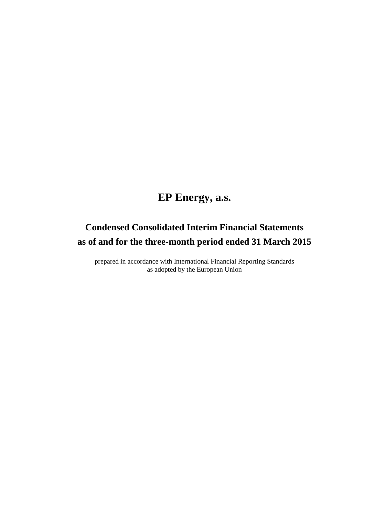# **EP Energy, a.s.**

# **Condensed Consolidated Interim Financial Statements as of and for the three-month period ended 31 March 2015**

prepared in accordance with International Financial Reporting Standards as adopted by the European Union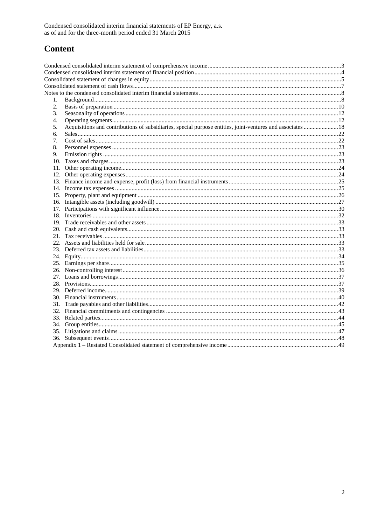## **Content**

| 1. |                                                                                                             |  |
|----|-------------------------------------------------------------------------------------------------------------|--|
| 2. |                                                                                                             |  |
| 3. |                                                                                                             |  |
| 4. |                                                                                                             |  |
| 5. | Acquisitions and contributions of subsidiaries, special purpose entities, joint-ventures and associates  18 |  |
| б. |                                                                                                             |  |
| 7. |                                                                                                             |  |
| 8. |                                                                                                             |  |
| 9. |                                                                                                             |  |
|    |                                                                                                             |  |
|    |                                                                                                             |  |
|    |                                                                                                             |  |
|    |                                                                                                             |  |
|    |                                                                                                             |  |
|    |                                                                                                             |  |
|    |                                                                                                             |  |
|    |                                                                                                             |  |
|    |                                                                                                             |  |
|    |                                                                                                             |  |
|    |                                                                                                             |  |
|    |                                                                                                             |  |
|    |                                                                                                             |  |
|    |                                                                                                             |  |
|    |                                                                                                             |  |
|    |                                                                                                             |  |
|    |                                                                                                             |  |
|    |                                                                                                             |  |
|    |                                                                                                             |  |
|    |                                                                                                             |  |
|    |                                                                                                             |  |
|    |                                                                                                             |  |
|    |                                                                                                             |  |
|    |                                                                                                             |  |
|    |                                                                                                             |  |
|    |                                                                                                             |  |
|    |                                                                                                             |  |
|    |                                                                                                             |  |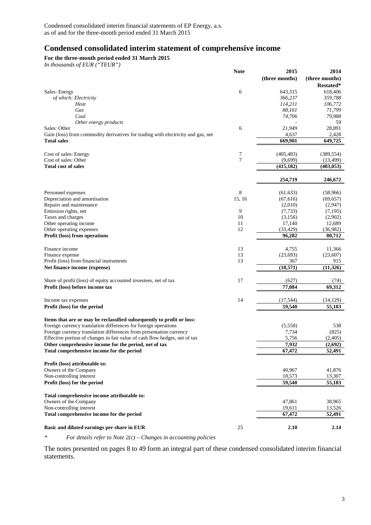## **Condensed consolidated interim statement of comprehensive income**

**For the three-month period ended 31 March 2015**

*In thousands of EUR ("TEUR")*

|                                                                                  | <b>Note</b> | 2015             | 2014            |
|----------------------------------------------------------------------------------|-------------|------------------|-----------------|
|                                                                                  |             | (three months)   | (three months)  |
|                                                                                  |             |                  | Restated*       |
| Sales: Energy                                                                    | 6           | 643,315          | 618,406         |
| of which: Electricity                                                            |             | 366,237          | 359,788         |
| Heat                                                                             |             | 114,211          | 106,772         |
| Gas                                                                              |             | 88,161           | 71,799          |
| Coal                                                                             |             | 74,706           | 79,988          |
| Other energy products                                                            |             |                  | 59              |
| Sales: Other                                                                     | 6           | 21,949           | 28,891          |
| Gain (loss) from commodity derivatives for trading with electricity and gas, net |             | 4,637            | 2,428           |
| <b>Total sales</b>                                                               |             | 669,901          | 649,725         |
| Cost of sales: Energy                                                            | 7           | (405, 483)       | (389, 554)      |
| Cost of sales: Other                                                             | 7           | (9,699)          | (13, 499)       |
| <b>Total cost of sales</b>                                                       |             | (415, 182)       | (403, 053)      |
|                                                                                  |             | 254,719          | 246,672         |
| Personnel expenses                                                               | 8           | (61, 633)        | (58,966)        |
| Depreciation and amortisation                                                    | 15, 16      | (67, 616)        | (69, 657)       |
| Repairs and maintenance                                                          |             | (2,010)          | (2,947)         |
| Emission rights, net                                                             | 9           | (7, 733)         | (7,195)         |
| Taxes and charges                                                                | 10          | (3,156)          | (2,902)         |
| Other operating income                                                           | 11          | 17,140           | 12,689          |
| Other operating expenses                                                         | 12          | (33, 429)        | (36,982)        |
| Profit (loss) from operations                                                    |             | 96,282           | 80,712          |
|                                                                                  |             |                  |                 |
| Finance income                                                                   | 13          | 4,755            | 11,366          |
| Finance expense<br>Profit (loss) from financial instruments                      | 13<br>13    | (23, 693)        | (23,607)<br>915 |
|                                                                                  |             | 367<br>(18, 571) | (11, 326)       |
| Net finance income (expense)                                                     |             |                  |                 |
| Share of profit (loss) of equity accounted investees, net of tax                 | 17          | (627)            | (74)            |
| Profit (loss) before income tax                                                  |             | 77,084           | 69,312          |
| Income tax expenses                                                              | 14          | (17, 544)        | (14, 129)       |
| Profit (loss) for the period                                                     |             | 59,540           | 55,183          |
|                                                                                  |             |                  |                 |
| Items that are or may be reclassified subsequently to profit or loss:            |             |                  |                 |
| Foreign currency translation differences for foreign operations                  |             | (5,558)          | 538             |
| Foreign currency translation differences from presentation currency              |             | 7,734            | (825)           |
| Effective portion of changes in fair value of cash flow hedges, net of tax       |             | 5,756            | (2,405)         |
| Other comprehensive income for the period, net of tax                            |             | 7,932            | (2,692)         |
| Total comprehensive income for the period                                        |             | 67,472           | 52,491          |
| Profit (loss) attributable to:                                                   |             |                  |                 |
| Owners of the Company                                                            |             | 40,967           | 41,876          |
| Non-controlling interest                                                         |             | 18,573           | 13,307          |
| Profit (loss) for the period                                                     |             | 59,540           | 55,183          |
| Total comprehensive income attributable to:                                      |             |                  |                 |
| Owners of the Company                                                            |             | 47,861           | 38,965          |
| Non-controlling interest                                                         |             | 19,611           | 13,526          |
| Total comprehensive income for the period                                        |             | 67,472           | 52,491          |
| Basic and diluted earnings per share in EUR                                      | 25          | 2.10             | 2.14            |
|                                                                                  |             |                  |                 |

*\* For details refer to Note 2(c) – Changes in accounting policies*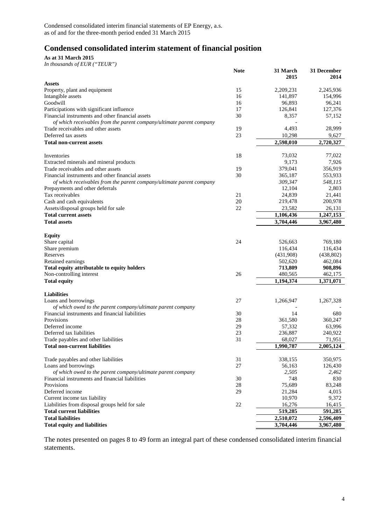## **Condensed consolidated interim statement of financial position**

**As at 31 March 2015**

|  |  |  | In thousands of EUR ("TEUR") |
|--|--|--|------------------------------|
|--|--|--|------------------------------|

|                                                                      | <b>Note</b> | 31 March<br>2015 | 31 December<br>2014 |
|----------------------------------------------------------------------|-------------|------------------|---------------------|
| <b>Assets</b>                                                        |             |                  |                     |
| Property, plant and equipment                                        | 15          | 2,209,231        | 2,245,936           |
| Intangible assets                                                    | 16          | 141,897          | 154,996             |
| Goodwill                                                             | 16          | 96,893           | 96,241              |
| Participations with significant influence                            | 17          | 126,841          | 127,376             |
| Financial instruments and other financial assets                     | 30          | 8,357            | 57,152              |
| of which receivables from the parent company/ultimate parent company |             | 4,493            | 28,999              |
| Trade receivables and other assets<br>Deferred tax assets            | 19<br>23    | 10,298           | 9,627               |
| <b>Total non-current assets</b>                                      |             | 2,598,010        | 2,720,327           |
|                                                                      |             |                  |                     |
| Inventories                                                          | 18          | 73,032           | 77,022              |
| Extracted minerals and mineral products                              |             | 9,173            | 7,926               |
| Trade receivables and other assets                                   | 19          | 379,041          | 356,919             |
| Financial instruments and other financial assets                     | 30          | 365,187          | 553,933             |
| of which receivables from the parent company/ultimate parent company |             | 309,347          | 548,115             |
| Prepayments and other deferrals                                      |             | 12,104           | 2,803               |
| Tax receivables                                                      | 21          | 24,839           | 21,441              |
| Cash and cash equivalents                                            | 20          | 219,478          | 200,978             |
| Assets/disposal groups held for sale                                 | 22          | 23,582           | 26,131              |
| <b>Total current assets</b>                                          |             | 1,106,436        | 1,247,153           |
| <b>Total assets</b>                                                  |             | 3,704,446        | 3,967,480           |
|                                                                      |             |                  |                     |
| <b>Equity</b>                                                        |             |                  |                     |
| Share capital                                                        | 24          | 526,663          | 769,180             |
| Share premium                                                        |             | 116,434          | 116,434             |
| Reserves                                                             |             | (431,908)        | (438, 802)          |
| Retained earnings                                                    |             | 502,620          | 462,084             |
| Total equity attributable to equity holders                          |             | 713,809          | 908,896             |
| Non-controlling interest                                             | 26          | 480,565          | 462,175             |
| <b>Total equity</b>                                                  |             | 1,194,374        | 1,371,071           |
| <b>Liabilities</b>                                                   |             |                  |                     |
| Loans and borrowings                                                 | 27          | 1,266,947        | 1,267,328           |
| of which owed to the parent company/ultimate parent company          |             |                  |                     |
| Financial instruments and financial liabilities                      | 30          | 14               | 680                 |
| Provisions                                                           | 28          | 361,580          | 360,247             |
| Deferred income                                                      | 29          | 57,332           | 63,996              |
| Deferred tax liabilities                                             | 23          | 236,887          | 240,922             |
| Trade payables and other liabilities                                 | 31          | 68,027           | 71,951              |
| <b>Total non-current liabilities</b>                                 |             | 1,990,787        | 2,005,124           |
|                                                                      |             |                  |                     |
| Trade payables and other liabilities                                 | 31          | 338,155          | 350,975             |
| Loans and borrowings                                                 | 27          | 56,163           | 126,430             |
| of which owed to the parent company/ultimate parent company          |             | 2,505            | 2,462               |
| Financial instruments and financial liabilities                      | 30          | 748              | 830                 |
| Provisions                                                           | 28          | 75,689           | 83,248              |
| Deferred income                                                      | 29          | 21,284           | 4,015               |
| Current income tax liability                                         |             | 10,970           | 9,372               |
| Liabilities from disposal groups held for sale                       | 22          | 16,276           | 16,415              |
| <b>Total current liabilities</b>                                     |             | 519,285          | 591,285             |
| <b>Total liabilities</b>                                             |             | 2,510,072        | 2,596,409           |
| <b>Total equity and liabilities</b>                                  |             | 3,704,446        | 3,967,480           |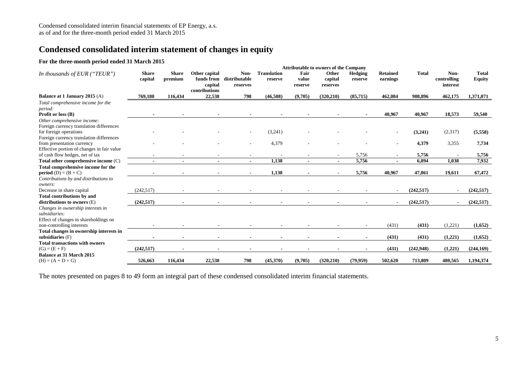## **Condensed consolidated interim statement of changes in equity**

#### **For the three-month period ended 31 March 2015**

|                                                               |                         |                         |                                                         |                                   |                               |                          | <b>Attributable to owners of the Company</b> |                           |                             |              |                                 |                               |
|---------------------------------------------------------------|-------------------------|-------------------------|---------------------------------------------------------|-----------------------------------|-------------------------------|--------------------------|----------------------------------------------|---------------------------|-----------------------------|--------------|---------------------------------|-------------------------------|
| In thousands of EUR ("TEUR")                                  | <b>Share</b><br>capital | <b>Share</b><br>premium | Other capital<br>funds from<br>capital<br>contributions | Non-<br>distributable<br>reserves | <b>Translation</b><br>reserve | Fair<br>value<br>reserve | Other<br>capital<br>reserves                 | <b>Hedging</b><br>reserve | <b>Retained</b><br>earnings | <b>Total</b> | Non-<br>controlling<br>interest | <b>Total</b><br><b>Equity</b> |
| Balance at 1 January 2015 (A)                                 | 769,180                 | 116,434                 | 22,538                                                  | 798                               | (46,508)                      | (9,705)                  | (320, 210)                                   | (85,715)                  | 462,084                     | 908.896      | 462,175                         | 1,371,071                     |
| Total comprehensive income for the                            |                         |                         |                                                         |                                   |                               |                          |                                              |                           |                             |              |                                 |                               |
| period:                                                       |                         |                         |                                                         |                                   |                               |                          |                                              |                           |                             |              |                                 |                               |
| Profit or loss (B)                                            |                         |                         |                                                         |                                   |                               |                          |                                              |                           | 40,967                      | 40,967       | 18,573                          | 59,540                        |
| Other comprehensive income:                                   |                         |                         |                                                         |                                   |                               |                          |                                              |                           |                             |              |                                 |                               |
| Foreign currency translation differences                      |                         |                         |                                                         |                                   |                               |                          |                                              |                           |                             |              |                                 |                               |
| for foreign operations                                        |                         |                         |                                                         |                                   | (3,241)                       |                          |                                              |                           |                             | (3,241)      | (2,317)                         | (5,558)                       |
| Foreign currency translation differences                      |                         |                         |                                                         |                                   |                               |                          |                                              |                           |                             |              |                                 |                               |
| from presentation currency                                    |                         |                         |                                                         |                                   | 4,379                         |                          |                                              |                           |                             | 4,379        | 3,355                           | 7,734                         |
| Effective portion of changes in fair value                    |                         |                         |                                                         |                                   |                               |                          |                                              |                           |                             |              |                                 |                               |
| of cash flow hedges, net of tax                               |                         |                         |                                                         |                                   |                               |                          |                                              | 5,756                     |                             | 5,756        |                                 | 5,756                         |
| Total other comprehensive income (C)                          |                         | $\blacksquare$          |                                                         | $\blacksquare$                    | 1.138                         | $\blacksquare$           | $\blacksquare$                               | 5,756                     |                             | 6,894        | 1,038                           | 7,932                         |
| Total comprehensive income for the                            |                         |                         |                                                         |                                   |                               |                          |                                              |                           |                             |              |                                 |                               |
| <b>period</b> (D) = $(B + C)$                                 |                         | $\blacksquare$          |                                                         |                                   | 1,138                         |                          | $\blacksquare$                               | 5,756                     | 40,967                      | 47,861       | 19,611                          | 67,472                        |
| Contributions by and distributions to                         |                         |                         |                                                         |                                   |                               |                          |                                              |                           |                             |              |                                 |                               |
| owners:                                                       |                         |                         |                                                         |                                   |                               |                          |                                              |                           |                             |              |                                 |                               |
| Decrease in share capital                                     | (242, 517)              |                         |                                                         |                                   |                               |                          |                                              |                           |                             | (242.517)    |                                 | (242, 517)                    |
| <b>Total contributions by and</b>                             |                         |                         |                                                         |                                   |                               |                          |                                              |                           |                             |              |                                 |                               |
| distributions to owners $(E)$                                 | (242, 517)              |                         |                                                         |                                   |                               |                          |                                              |                           |                             | (242, 517)   |                                 | (242, 517)                    |
| Changes in ownership interests in<br>subsidiaries:            |                         |                         |                                                         |                                   |                               |                          |                                              |                           |                             |              |                                 |                               |
| Effect of changes in shareholdings on                         |                         |                         |                                                         |                                   |                               |                          |                                              |                           |                             |              |                                 |                               |
| non-controlling interests                                     |                         |                         |                                                         |                                   |                               |                          |                                              |                           | (431)                       | (431)        | (1,221)                         | (1,652)                       |
|                                                               |                         |                         |                                                         |                                   |                               |                          |                                              |                           |                             |              |                                 |                               |
| Total changes in ownership interests in<br>subsidiaries $(F)$ |                         |                         |                                                         |                                   |                               |                          |                                              |                           | (431)                       | (431)        | (1,221)                         | (1,652)                       |
| <b>Total transactions with owners</b>                         |                         |                         |                                                         |                                   |                               |                          |                                              |                           |                             |              |                                 |                               |
| $(G) = (E + F)$                                               | (242.517)               |                         |                                                         |                                   |                               |                          |                                              |                           | (431)                       | (242,948)    | (1,221)                         | (244, 169)                    |
| <b>Balance at 31 March 2015</b>                               |                         |                         |                                                         |                                   |                               |                          |                                              |                           |                             |              |                                 |                               |
| $(H) = (A + D + G)$                                           | 526,663                 | 116,434                 | 22,538                                                  | 798                               | (45,370)                      | (9,705)                  | (320, 210)                                   | (79, 959)                 | 502,620                     | 713,809      | 480,565                         | 1,194,374                     |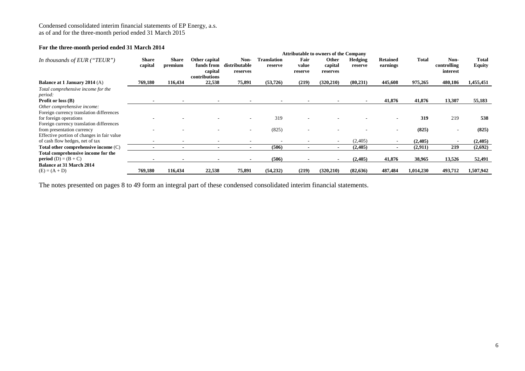#### **For the three-month period ended 31 March 2014**

|                                            |              |              |               |                |                    |                          | <b>Attributable to owners of the Company</b> |           |                          |           |             |              |
|--------------------------------------------|--------------|--------------|---------------|----------------|--------------------|--------------------------|----------------------------------------------|-----------|--------------------------|-----------|-------------|--------------|
| In thousands of EUR ("TEUR")               | <b>Share</b> | <b>Share</b> | Other capital | Non-           | <b>Translation</b> | Fair                     | Other                                        | Hedging   | <b>Retained</b>          | Total     | Non-        | <b>Total</b> |
|                                            | capital      | premium      | funds from    | distributable  | reserve            | value                    | capital                                      | reserve   | earnings                 |           | controlling | Equity       |
|                                            |              |              | capital       | reserves       |                    | reserve                  | reserves                                     |           |                          |           | interest    |              |
|                                            |              |              | contributions |                |                    |                          |                                              |           |                          |           |             |              |
| Balance at 1 January 2014 (A)              | 769,180      | 116,434      | 22,538        | 75,891         | (53, 726)          | (219)                    | (320, 210)                                   | (80, 231) | 445,608                  | 975,265   | 480,186     | 1,455,451    |
| Total comprehensive income for the         |              |              |               |                |                    |                          |                                              |           |                          |           |             |              |
| period:                                    |              |              |               |                |                    |                          |                                              |           |                          |           |             |              |
| <b>Profit or loss (B)</b>                  |              |              |               |                |                    |                          |                                              |           | 41,876                   | 41,876    | 13,307      | 55,183       |
| Other comprehensive income:                |              |              |               |                |                    |                          |                                              |           |                          |           |             |              |
| Foreign currency translation differences   |              |              |               |                |                    |                          |                                              |           |                          |           |             |              |
| for foreign operations                     |              |              |               |                | 319                |                          |                                              |           |                          | 319       | 219         | 538          |
| Foreign currency translation differences   |              |              |               |                |                    |                          |                                              |           |                          |           |             |              |
| from presentation currency                 |              |              |               |                | (825)              |                          |                                              |           |                          | (825)     |             | (825)        |
| Effective portion of changes in fair value |              |              |               |                |                    |                          |                                              |           |                          |           |             |              |
| of cash flow hedges, net of tax            |              |              |               |                |                    |                          | $\sim$                                       | (2,405)   |                          | (2,405)   |             | (2,405)      |
| Total other comprehensive income (C)       |              |              |               | $\blacksquare$ | (506)              | $\overline{\phantom{0}}$ | $\blacksquare$                               | (2,405)   | $\overline{\phantom{a}}$ | (2,911)   | 219         | (2,692)      |
| Total comprehensive income for the         |              |              |               |                |                    |                          |                                              |           |                          |           |             |              |
| <b>period</b> $(D) = (B + C)$              |              |              |               |                | (506)              |                          |                                              | (2,405)   | 41,876                   | 38,965    | 13,526      | 52,491       |
| <b>Balance at 31 March 2014</b>            |              |              |               |                |                    |                          |                                              |           |                          |           |             |              |
| $(E) = (A + D)$                            | 769,180      | 116.434      | 22,538        | 75,891         | (54, 232)          | (219)                    | (320, 210)                                   | (82, 636) | 487,484                  | 1,014,230 | 493,712     | 1,507,942    |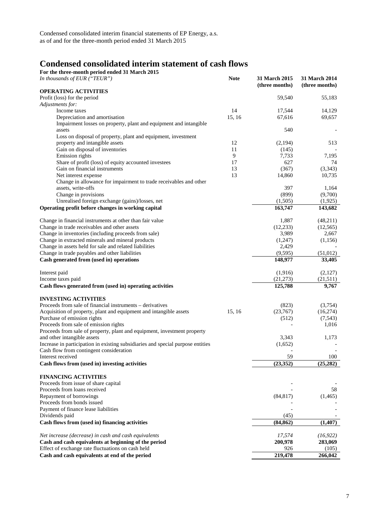## **Condensed consolidated interim statement of cash flows**

| For the three-month period ended 31 March 2015                                            |             |                |                      |
|-------------------------------------------------------------------------------------------|-------------|----------------|----------------------|
| In thousands of EUR $("TEUR")$                                                            | <b>Note</b> | 31 March 2015  | <b>31 March 2014</b> |
| <b>OPERATING ACTIVITIES</b>                                                               |             | (three months) | (three months)       |
| Profit (loss) for the period                                                              |             | 59,540         | 55,183               |
| Adjustments for:                                                                          |             |                |                      |
| Income taxes                                                                              | 14          | 17,544         | 14,129               |
| Depreciation and amortisation                                                             | 15, 16      | 67,616         | 69,657               |
| Impairment losses on property, plant and equipment and intangible                         |             |                |                      |
| assets                                                                                    |             | 540            |                      |
| Loss on disposal of property, plant and equipment, investment                             |             |                |                      |
| property and intangible assets                                                            | 12          | (2,194)        | 513                  |
| Gain on disposal of inventories                                                           | 11          | (145)          |                      |
| Emission rights                                                                           | 9           | 7,733          | 7,195                |
| Share of profit (loss) of equity accounted investees                                      | 17          | 627            | 74                   |
| Gain on financial instruments                                                             | 13<br>13    | (367)          | (3,343)              |
| Net interest expense<br>Change in allowance for impairment to trade receivables and other |             | 14,860         | 10,735               |
| assets, write-offs                                                                        |             | 397            | 1,164                |
| Change in provisions                                                                      |             | (899)          | (9,700)              |
| Unrealised foreign exchange (gains)/losses, net                                           |             | (1,505)        | (1, 925)             |
| Operating profit before changes in working capital                                        |             | 163,747        | 143,682              |
|                                                                                           |             |                |                      |
| Change in financial instruments at other than fair value                                  |             | 1,887          | (48,211)             |
| Change in trade receivables and other assets                                              |             | (12, 233)      | (12, 565)            |
| Change in inventories (including proceeds from sale)                                      |             | 3,989          | 2,667                |
| Change in extracted minerals and mineral products                                         |             | (1,247)        | (1,156)              |
| Change in assets held for sale and related liabilities                                    |             | 2,429          |                      |
| Change in trade payables and other liabilities                                            |             | (9, 595)       | (51,012)             |
| Cash generated from (used in) operations                                                  |             | 148,977        | 33,405               |
| Interest paid                                                                             |             | (1,916)        | (2,127)              |
| Income taxes paid                                                                         |             | (21, 273)      | (21,511)             |
| Cash flows generated from (used in) operating activities                                  |             | 125,788        | 9,767                |
| <b>INVESTING ACTIVITIES</b>                                                               |             |                |                      |
| Proceeds from sale of financial instruments - derivatives                                 |             | (823)          | (3,754)              |
| Acquisition of property, plant and equipment and intangible assets                        | 15, 16      | (23,767)       | (16,274)             |
| Purchase of emission rights                                                               |             | (512)          | (7, 543)             |
| Proceeds from sale of emission rights                                                     |             |                | 1,016                |
| Proceeds from sale of property, plant and equipment, investment property                  |             |                |                      |
| and other intangible assets                                                               |             | 3,343          | 1,173                |
| Increase in participation in existing subsidiaries and special purpose entities           |             | (1,652)        |                      |
| Cash flow from contingent consideration                                                   |             |                |                      |
| Interest received                                                                         |             | 59             | 100                  |
| Cash flows from (used in) investing activities                                            |             | (23, 352)      | (25, 282)            |
| <b>FINANCING ACTIVITIES</b>                                                               |             |                |                      |
| Proceeds from issue of share capital                                                      |             |                |                      |
| Proceeds from loans received                                                              |             |                | 58                   |
| Repayment of borrowings                                                                   |             | (84, 817)      | (1,465)              |
| Proceeds from bonds issued                                                                |             |                |                      |
| Payment of finance lease liabilities                                                      |             |                |                      |
| Dividends paid                                                                            |             | (45)           |                      |
| Cash flows from (used in) financing activities                                            |             | (84, 862)      | (1,407)              |
| Net increase (decrease) in cash and cash equivalents                                      |             | 17,574         | (16, 922)            |
| Cash and cash equivalents at beginning of the period                                      |             | 200,978        | 283,069              |
| Effect of exchange rate fluctuations on cash held                                         |             | 926            | (105)                |
| Cash and cash equivalents at end of the period                                            |             | 219,478        | 266,042              |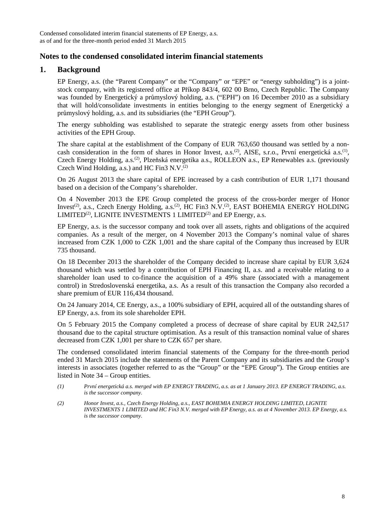## **Notes to the condensed consolidated interim financial statements**

## **1. Background**

EP Energy, a.s. (the "Parent Company" or the "Company" or "EPE" or "energy subholding") is a jointstock company, with its registered office at Příkop 843/4, 602 00 Brno, Czech Republic. The Company was founded by Energetický a průmyslový holding, a.s. ("EPH") on 16 December 2010 as a subsidiary that will hold/consolidate investments in entities belonging to the energy segment of Energetický a průmyslový holding, a.s. and its subsidiaries (the "EPH Group").

The energy subholding was established to separate the strategic energy assets from other business activities of the EPH Group.

The share capital at the establishment of the Company of EUR 763,650 thousand was settled by a noncash consideration in the form of shares in Honor Invest, a.s.<sup>(2)</sup>, AISE, s.r.o., První energetická a.s.<sup>(1)</sup>, Czech Energy Holding, a.s.<sup>(2)</sup>, Plzeňská energetika a.s., ROLLEON a.s., EP Renewables a.s. (previously Czech Wind Holding, a.s.) and HC Fin3 N.V. $^{(2)}$ 

On 26 August 2013 the share capital of EPE increased by a cash contribution of EUR 1,171 thousand based on a decision of the Company's shareholder.

On 4 November 2013 the EPE Group completed the process of the cross-border merger of Honor Invest<sup>(2)</sup>, a.s., Czech Energy Holding, a.s.<sup>(2)</sup>, HC Fin3 N.V.<sup>(2)</sup>, EAST BOHEMIA ENERGY HOLDING LIMITED<sup>(2)</sup>, LIGNITE INVESTMENTS 1 LIMITED<sup>(2)</sup> and EP Energy, a.s.

EP Energy, a.s. is the successor company and took over all assets, rights and obligations of the acquired companies. As a result of the merger, on 4 November 2013 the Company's nominal value of shares increased from CZK 1,000 to CZK 1,001 and the share capital of the Company thus increased by EUR 735 thousand.

On 18 December 2013 the shareholder of the Company decided to increase share capital by EUR 3,624 thousand which was settled by a contribution of EPH Financing II, a.s. and a receivable relating to a shareholder loan used to co-finance the acquisition of a 49% share (associated with a management control) in Stredoslovenská energetika, a.s. As a result of this transaction the Company also recorded a share premium of EUR 116,434 thousand.

On 24 January 2014, CE Energy, a.s., a 100% subsidiary of EPH, acquired all of the outstanding shares of EP Energy, a.s. from its sole shareholder EPH.

On 5 February 2015 the Company completed a process of decrease of share capital by EUR 242,517 thousand due to the capital structure optimisation. As a result of this transaction nominal value of shares decreased from CZK 1,001 per share to CZK 657 per share.

The condensed consolidated interim financial statements of the Company for the three-month period ended 31 March 2015 include the statements of the Parent Company and its subsidiaries and the Group's interests in associates (together referred to as the "Group" or the "EPE Group"). The Group entities are listed in Note 34 – Group entities.

- *(1) První energetická a.s. merged with EP ENERGY TRADING, a.s. as at 1 January 2013. EP ENERGY TRADING, a.s. is the successor company.*
- *(2) Honor Invest, a.s., Czech Energy Holding, a.s., EAST BOHEMIA ENERGY HOLDING LIMITED, LIGNITE INVESTMENTS 1 LIMITED and HC Fin3 N.V. merged with EP Energy, a.s. as at 4 November 2013. EP Energy, a.s. is the successor company.*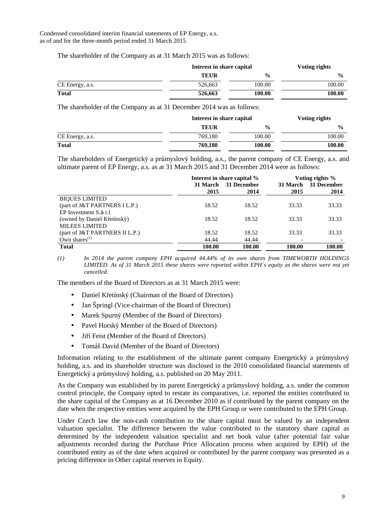The shareholder of the Company as at 31 March 2015 was as follows:

|                 |             | Interest in share capital |               |  |  |
|-----------------|-------------|---------------------------|---------------|--|--|
|                 | <b>TEUR</b> | $\frac{0}{0}$             | $\frac{6}{9}$ |  |  |
| CE Energy, a.s. | 526.663     | 100.00                    | 100.00        |  |  |
| <b>Total</b>    | 526,663     | 100.00                    | 100.00        |  |  |

The shareholder of the Company as at 31 December 2014 was as follows:

|                 |             | Interest in share capital |               |  |  |
|-----------------|-------------|---------------------------|---------------|--|--|
|                 | <b>TEUR</b> | $\frac{6}{9}$             | $\frac{0}{0}$ |  |  |
| CE Energy, a.s. | 769.180     | 100.00                    | 100.00        |  |  |
| <b>Total</b>    | 769.180     | 100.00                    | 100.00        |  |  |

The shareholders of Energetický a průmyslový holding, a.s., the parent company of CE Energy, a.s. and ultimate parent of EP Energy, a.s. as at 31 March 2015 and 31 December 2014 were as follows:

|                                |          | Interest in share capital % | Voting rights % |                      |  |
|--------------------------------|----------|-----------------------------|-----------------|----------------------|--|
|                                | 31 March | 31 December                 |                 | 31 March 31 December |  |
|                                | 2015     | 2014                        | 2015            | 2014                 |  |
| <b>BIOUES LIMITED</b>          |          |                             |                 |                      |  |
| (part of J&T PARTNERS I L.P.)  | 18.52    | 18.52                       | 33.33           | 33.33                |  |
| EP Investment S.à r.l          |          |                             |                 |                      |  |
| (owned by Daniel Křetínský)    | 18.52    | 18.52                       | 33.33           | 33.33                |  |
| <b>MILEES LIMITED</b>          |          |                             |                 |                      |  |
| (part of J&T PARTNERS II L.P.) | 18.52    | 18.52                       | 33.33           | 33.33                |  |
| Own shares $(1)$               | 44.44    | 44.44                       |                 |                      |  |
| <b>Total</b>                   | 100.00   | 100.00                      | 100.00          | 100.00               |  |

*(1) In 2014 the parent company EPH acquired 44.44% of its own shares from TIMEWORTH HOLDINGS LIMITED. As of 31 March 2015 these shares were reported within EPH´s equity as the shares were not yet cancelled.* 

The members of the Board of Directors as at 31 March 2015 were:

- Daniel Křetínský (Chairman of the Board of Directors)
- Jan Špringl (Vice-chairman of the Board of Directors)
- Marek Spurný (Member of the Board of Directors)
- Pavel Horský Member of the Board of Directors)
- Jiří Feist (Member of the Board of Directors)
- Tomáš David (Member of the Board of Directors)

Information relating to the establishment of the ultimate parent company Energetický a průmyslový holding, a.s. and its shareholder structure was disclosed in the 2010 consolidated financial statements of Energetický a průmyslový holding, a.s. published on 20 May 2011.

As the Company was established by its parent Energetický a průmyslový holding, a.s. under the common control principle, the Company opted to restate its comparatives, i.e. reported the entities contributed to the share capital of the Company as at 16 December 2010 as if contributed by the parent company on the date when the respective entities were acquired by the EPH Group or were contributed to the EPH Group.

Under Czech law the non-cash contribution to the share capital must be valued by an independent valuation specialist. The difference between the value contributed to the statutory share capital as determined by the independent valuation specialist and net book value (after potential fair value adjustments recorded during the Purchase Price Allocation process when acquired by EPH) of the contributed entity as of the date when acquired or contributed by the parent company was presented as a pricing difference in Other capital reserves in Equity.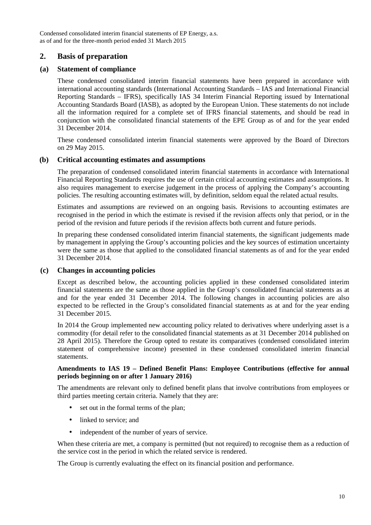## **2. Basis of preparation**

## **(a) Statement of compliance**

These condensed consolidated interim financial statements have been prepared in accordance with international accounting standards (International Accounting Standards – IAS and International Financial Reporting Standards – IFRS), specifically IAS 34 Interim Financial Reporting issued by International Accounting Standards Board (IASB), as adopted by the European Union. These statements do not include all the information required for a complete set of IFRS financial statements, and should be read in conjunction with the consolidated financial statements of the EPE Group as of and for the year ended 31 December 2014.

These condensed consolidated interim financial statements were approved by the Board of Directors on 29 May 2015.

## **(b) Critical accounting estimates and assumptions**

The preparation of condensed consolidated interim financial statements in accordance with International Financial Reporting Standards requires the use of certain critical accounting estimates and assumptions. It also requires management to exercise judgement in the process of applying the Company's accounting policies. The resulting accounting estimates will, by definition, seldom equal the related actual results.

Estimates and assumptions are reviewed on an ongoing basis. Revisions to accounting estimates are recognised in the period in which the estimate is revised if the revision affects only that period, or in the period of the revision and future periods if the revision affects both current and future periods.

In preparing these condensed consolidated interim financial statements, the significant judgements made by management in applying the Group's accounting policies and the key sources of estimation uncertainty were the same as those that applied to the consolidated financial statements as of and for the year ended 31 December 2014.

## **(c) Changes in accounting policies**

Except as described below, the accounting policies applied in these condensed consolidated interim financial statements are the same as those applied in the Group's consolidated financial statements as at and for the year ended 31 December 2014. The following changes in accounting policies are also expected to be reflected in the Group's consolidated financial statements as at and for the year ending 31 December 2015.

In 2014 the Group implemented new accounting policy related to derivatives where underlying asset is a commodity (for detail refer to the consolidated financial statements as at 31 December 2014 published on 28 April 2015). Therefore the Group opted to restate its comparatives (condensed consolidated interim statement of comprehensive income) presented in these condensed consolidated interim financial statements.

#### **Amendments to IAS 19 – Defined Benefit Plans: Employee Contributions (effective for annual periods beginning on or after 1 January 2016)**

The amendments are relevant only to defined benefit plans that involve contributions from employees or third parties meeting certain criteria. Namely that they are:

- set out in the formal terms of the plan:
- linked to service; and
- independent of the number of years of service.

When these criteria are met, a company is permitted (but not required) to recognise them as a reduction of the service cost in the period in which the related service is rendered.

The Group is currently evaluating the effect on its financial position and performance.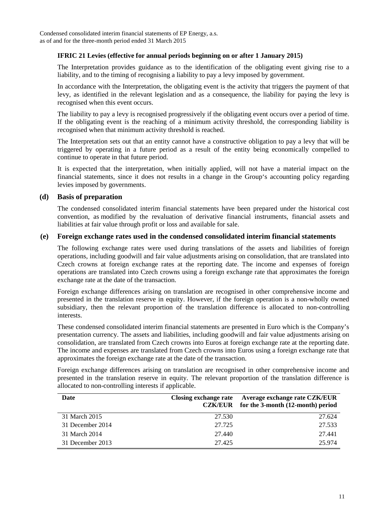#### **IFRIC 21 Levies (effective for annual periods beginning on or after 1 January 2015)**

The Interpretation provides guidance as to the identification of the obligating event giving rise to a liability, and to the timing of recognising a liability to pay a levy imposed by government.

In accordance with the Interpretation, the obligating event is the activity that triggers the payment of that levy, as identified in the relevant legislation and as a consequence, the liability for paying the levy is recognised when this event occurs.

The liability to pay a levy is recognised progressively if the obligating event occurs over a period of time. If the obligating event is the reaching of a minimum activity threshold, the corresponding liability is recognised when that minimum activity threshold is reached.

The Interpretation sets out that an entity cannot have a constructive obligation to pay a levy that will be triggered by operating in a future period as a result of the entity being economically compelled to continue to operate in that future period.

It is expected that the interpretation, when initially applied, will not have a material impact on the financial statements, since it does not results in a change in the Group's accounting policy regarding levies imposed by governments.

#### **(d) Basis of preparation**

The condensed consolidated interim financial statements have been prepared under the historical cost convention, as modified by the revaluation of derivative financial instruments, financial assets and liabilities at fair value through profit or loss and available for sale.

#### **(e) Foreign exchange rates used in the condensed consolidated interim financial statements**

The following exchange rates were used during translations of the assets and liabilities of foreign operations, including goodwill and fair value adjustments arising on consolidation, that are translated into Czech crowns at foreign exchange rates at the reporting date. The income and expenses of foreign operations are translated into Czech crowns using a foreign exchange rate that approximates the foreign exchange rate at the date of the transaction.

Foreign exchange differences arising on translation are recognised in other comprehensive income and presented in the translation reserve in equity. However, if the foreign operation is a non-wholly owned subsidiary, then the relevant proportion of the translation difference is allocated to non-controlling interests.

These condensed consolidated interim financial statements are presented in Euro which is the Company's presentation currency. The assets and liabilities, including goodwill and fair value adjustments arising on consolidation, are translated from Czech crowns into Euros at foreign exchange rate at the reporting date. The income and expenses are translated from Czech crowns into Euros using a foreign exchange rate that approximates the foreign exchange rate at the date of the transaction.

Foreign exchange differences arising on translation are recognised in other comprehensive income and presented in the translation reserve in equity. The relevant proportion of the translation difference is allocated to non-controlling interests if applicable.

| Date             | Closing exchange rate<br><b>CZK/EUR</b> | Average exchange rate CZK/EUR<br>for the 3-month (12-month) period |
|------------------|-----------------------------------------|--------------------------------------------------------------------|
| 31 March 2015    | 27.530                                  | 27.624                                                             |
| 31 December 2014 | 27.725                                  | 27.533                                                             |
| 31 March 2014    | 27.440                                  | 27.441                                                             |
| 31 December 2013 | 27.425                                  | 25.974                                                             |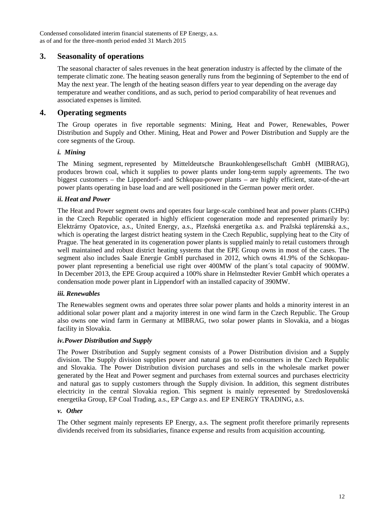## **3. Seasonality of operations**

The seasonal character of sales revenues in the heat generation industry is affected by the climate of the temperate climatic zone. The heating season generally runs from the beginning of September to the end of May the next year. The length of the heating season differs year to year depending on the average day temperature and weather conditions, and as such, period to period comparability of heat revenues and associated expenses is limited.

## **4. Operating segments**

The Group operates in five reportable segments: Mining, Heat and Power, Renewables, Power Distribution and Supply and Other. Mining, Heat and Power and Power Distribution and Supply are the core segments of the Group.

#### *i. Mining*

The Mining segment, represented by Mitteldeutsche Braunkohlengesellschaft GmbH (MIBRAG), produces brown coal, which it supplies to power plants under long-term supply agreements. The two biggest customers – the Lippendorf- and Schkopau-power plants – are highly efficient, state-of-the-art power plants operating in base load and are well positioned in the German power merit order.

#### *ii. Heat and Power*

The Heat and Power segment owns and operates four large-scale combined heat and power plants (CHPs) in the Czech Republic operated in highly efficient cogeneration mode and represented primarily by: Elektrárny Opatovice, a.s., United Energy, a.s., Plzeňská energetika a.s. and Pražská teplárenská a.s., which is operating the largest district heating system in the Czech Republic, supplying heat to the City of Prague. The heat generated in its cogeneration power plants is supplied mainly to retail customers through well maintained and robust district heating systems that the EPE Group owns in most of the cases. The segment also includes Saale Energie GmbH purchased in 2012, which owns 41.9% of the Schkopaupower plant representing a beneficial use right over 400MW of the plant´s total capacity of 900MW. In December 2013, the EPE Group acquired a 100% share in Helmstedter Revier GmbH which operates a condensation mode power plant in Lippendorf with an installed capacity of 390MW.

## *iii. Renewables*

The Renewables segment owns and operates three solar power plants and holds a minority interest in an additional solar power plant and a majority interest in one wind farm in the Czech Republic. The Group also owns one wind farm in Germany at MIBRAG, two solar power plants in Slovakia, and a biogas facility in Slovakia.

#### *iv.Power Distribution and Supply*

The Power Distribution and Supply segment consists of a Power Distribution division and a Supply division. The Supply division supplies power and natural gas to end-consumers in the Czech Republic and Slovakia. The Power Distribution division purchases and sells in the wholesale market power generated by the Heat and Power segment and purchases from external sources and purchases electricity and natural gas to supply customers through the Supply division. In addition, this segment distributes electricity in the central Slovakia region. This segment is mainly represented by Stredoslovenská energetika Group, EP Coal Trading, a.s., EP Cargo a.s. and EP ENERGY TRADING, a.s.

#### *v. Other*

The Other segment mainly represents EP Energy, a.s. The segment profit therefore primarily represents dividends received from its subsidiaries, finance expense and results from acquisition accounting.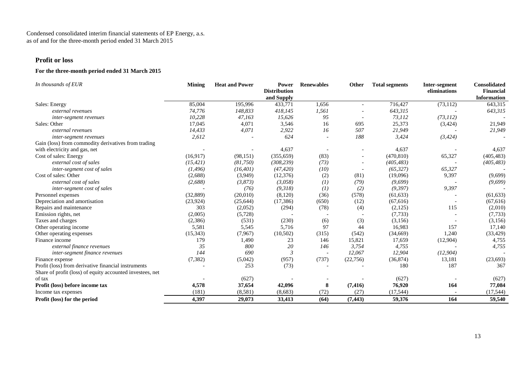#### **Profit or loss**

#### **For the three-month period ended 31 March 2015**

| In thousands of EUR                                       | <b>Mining</b> | <b>Heat and Power</b> | <b>Power</b><br><b>Distribution</b><br>and Supply | <b>Renewables</b>        | Other     | <b>Total segments</b> | Inter-segment<br>eliminations | <b>Consolidated</b><br><b>Financial</b><br><b>Information</b> |
|-----------------------------------------------------------|---------------|-----------------------|---------------------------------------------------|--------------------------|-----------|-----------------------|-------------------------------|---------------------------------------------------------------|
| Sales: Energy                                             | 85,004        | 195,996               | 433,771                                           | 1,656                    |           | 716,427               | (73, 112)                     | 643,315                                                       |
| external revenues                                         | 74,776        | 148,833               | 418,145                                           | 1,561                    |           | 643,315               |                               | 643,315                                                       |
| inter-segment revenues                                    | 10,228        | 47,163                | 15,626                                            | 95                       |           | 73,112                | (73, 112)                     |                                                               |
| Sales: Other                                              | 17,045        | 4,071                 | 3,546                                             | 16                       | 695       | 25,373                | (3, 424)                      | 21,949                                                        |
| external revenues                                         | 14,433        | 4,071                 | 2,922                                             | 16                       | 507       | 21,949                |                               | 21,949                                                        |
| inter-segment revenues                                    | 2,612         |                       | 624                                               |                          | 188       | 3,424                 | (3, 424)                      |                                                               |
| Gain (loss) from commodity derivatives from trading       |               |                       |                                                   |                          |           |                       |                               |                                                               |
| with electricity and gas, net                             |               |                       | 4,637                                             |                          |           | 4,637                 |                               | 4,637                                                         |
| Cost of sales: Energy                                     | (16,917)      | (98, 151)             | (355, 659)                                        | (83)                     |           | (470, 810)            | 65,327                        | (405, 483)                                                    |
| external cost of sales                                    | (15, 421)     | (81,750)              | (308, 239)                                        | (73)                     |           | (405, 483)            |                               | (405, 483)                                                    |
| inter-segment cost of sales                               | (1, 496)      | (16, 401)             | (47, 420)                                         | (10)                     |           | (65, 327)             | 65,327                        |                                                               |
| Cost of sales: Other                                      | (2,688)       | (3,949)               | (12, 376)                                         | (2)                      | (81)      | (19,096)              | 9,397                         | (9,699)                                                       |
| external cost of sales                                    | (2,688)       | (3,873)               | (3,058)                                           | (1)                      | (79)      | (9,699)               |                               | (9,699)                                                       |
| inter-segment cost of sales                               |               | (76)                  | (9,318)                                           | (1)                      | (2)       | (9, 397)              | 9,397                         |                                                               |
| Personnel expenses                                        | (32,889)      | (20,010)              | (8,120)                                           | (36)                     | (578)     | (61, 633)             |                               | (61, 633)                                                     |
| Depreciation and amortisation                             | (23, 924)     | (25, 644)             | (17, 386)                                         | (650)                    | (12)      | (67,616)              |                               | (67,616)                                                      |
| Repairs and maintenance                                   | 303           | (2,052)               | (294)                                             | (78)                     | (4)       | (2,125)               | 115                           | (2,010)                                                       |
| Emission rights, net                                      | (2,005)       | (5,728)               |                                                   |                          |           | (7, 733)              |                               | (7, 733)                                                      |
| Taxes and charges                                         | (2,386)       | (531)                 | (230)                                             | (6)                      | (3)       | (3, 156)              |                               | (3,156)                                                       |
| Other operating income                                    | 5,581         | 5,545                 | 5,716                                             | 97                       | 44        | 16,983                | 157                           | 17,140                                                        |
| Other operating expenses                                  | (15, 343)     | (7,967)               | (10,502)                                          | (315)                    | (542)     | (34,669)              | 1,240                         | (33, 429)                                                     |
| Finance income                                            | 179           | 1,490                 | 23                                                | 146                      | 15,821    | 17,659                | (12,904)                      | 4,755                                                         |
| external finance revenues                                 | 35            | 800                   | 20                                                | 146                      | 3,754     | 4,755                 |                               | 4,755                                                         |
| inter-segment finance revenues                            | 144           | 690                   | 3                                                 | $\overline{\phantom{a}}$ | 12,067    | 12,904                | (12, 904)                     |                                                               |
| Finance expense                                           | (7, 382)      | (5,042)               | (957)                                             | (737)                    | (22, 756) | (36,874)              | 13,181                        | (23, 693)                                                     |
| Profit (loss) from derivative financial instruments       |               | 253                   | (73)                                              |                          |           | 180                   | 187                           | 367                                                           |
| Share of profit (loss) of equity accounted investees, net |               |                       |                                                   |                          |           |                       |                               |                                                               |
| of tax                                                    |               | (627)                 |                                                   |                          |           | (627)                 |                               | (627)                                                         |
| Profit (loss) before income tax                           | 4,578         | 37,654                | 42,096                                            | 8                        | (7, 416)  | 76,920                | 164                           | 77,084                                                        |
| Income tax expenses                                       | (181)         | (8,581)               | (8,683)                                           | (72)                     | (27)      | (17, 544)             |                               | (17, 544)                                                     |
| Profit (loss) for the period                              | 4,397         | 29,073                | 33,413                                            | (64)                     | (7, 443)  | 59,376                | 164                           | 59,540                                                        |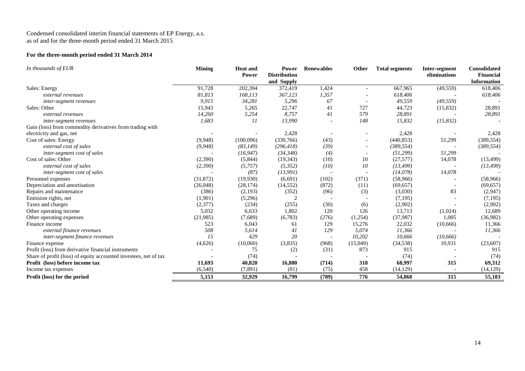#### **For the three-month period ended 31 March 2014**

| In thousands of EUR                                              | <b>Mining</b> | <b>Heat and</b><br><b>Power</b> | Power<br><b>Distribution</b><br>and Supply | <b>Renewables</b> | <b>Other</b>             | <b>Total segments</b> | Inter-segment<br>eliminations | <b>Consolidated</b><br><b>Financial</b><br><b>Information</b> |
|------------------------------------------------------------------|---------------|---------------------------------|--------------------------------------------|-------------------|--------------------------|-----------------------|-------------------------------|---------------------------------------------------------------|
| Sales: Energy                                                    | 91,728        | 202,394                         | 372,419                                    | 1,424             | $\overline{\phantom{a}}$ | 667,965               | (49, 559)                     | 618,406                                                       |
| external revenues                                                | 81,813        | 168,113                         | 367,123                                    | 1,357             |                          | 618,406               |                               | 618,406                                                       |
| inter-segment revenues                                           | 9,915         | 34,281                          | 5,296                                      | 67                | $\overline{\phantom{a}}$ | 49,559                | (49, 559)                     |                                                               |
| Sales: Other                                                     | 15,943        | 5,265                           | 22,747                                     | 41                | 727                      | 44,723                | (15,832)                      | 28,891                                                        |
| external revenues                                                | 14,260        | 5,254                           | 8,757                                      | 41                | 579                      | 28,891                |                               | 28,891                                                        |
| inter-segment revenues                                           | 1,683         | 11                              | 13,990                                     |                   | 148                      | 15,832                | (15, 832)                     |                                                               |
| Gain (loss) from commodity derivatives from trading with         |               |                                 |                                            |                   |                          |                       |                               |                                                               |
| electricity and gas, net                                         |               |                                 | 2,428                                      |                   |                          | 2,428                 |                               | 2,428                                                         |
| Cost of sales: Energy                                            | (9,948)       | (100,096)                       | (330,766)                                  | (43)              | $\overline{\phantom{a}}$ | (440, 853)            | 51,299                        | (389, 554)                                                    |
| external cost of sales                                           | (9,948)       | (83, 149)                       | (296, 418)                                 | (39)              |                          | (389, 554)            |                               | (389, 554)                                                    |
| inter-segment cost of sales                                      |               | (16, 947)                       | (34, 348)                                  | (4)               |                          | (51, 299)             | 51,299                        |                                                               |
| Cost of sales: Other                                             | (2,390)       | (5,844)                         | (19, 343)                                  | (10)              | 10                       | (27,577)              | 14,078                        | (13, 499)                                                     |
| external cost of sales                                           | (2,390)       | (5,757)                         | (5,352)                                    | (10)              | 10                       | (13, 499)             |                               | (13, 499)                                                     |
| inter-segment cost of sales                                      |               | (87)                            | (13, 991)                                  |                   |                          | (14,078)              | 14,078                        |                                                               |
| Personnel expenses                                               | (31, 872)     | (19,930)                        | (6,691)                                    | (102)             | (371)                    | (58,966)              |                               | (58,966)                                                      |
| Depreciation and amortisation                                    | (26,048)      | (28, 174)                       | (14, 552)                                  | (872)             | (11)                     | (69, 657)             |                               | (69, 657)                                                     |
| Repairs and maintenance                                          | (386)         | (2,193)                         | (352)                                      | (96)              | (3)                      | (3,030)               | 83                            | (2,947)                                                       |
| Emission rights, net                                             | (1,901)       | (5,296)                         | ↑                                          |                   |                          | (7,195)               |                               | (7,195)                                                       |
| Taxes and charges                                                | (2,377)       | (234)                           | (255)                                      | (30)              | (6)                      | (2,902)               |                               | (2,902)                                                       |
| Other operating income                                           | 5,032         | 6,633                           | 1,802                                      | 120               | 126                      | 13,713                | (1,024)                       | 12,689                                                        |
| Other operating expenses                                         | (21,985)      | (7,689)                         | (6,783)                                    | (276)             | (1,254)                  | (37, 987)             | 1,005                         | (36,982)                                                      |
| Finance income                                                   | 523           | 6,043                           | 61                                         | 129               | 15,276                   | 22,032                | (10,666)                      | 11,366                                                        |
| external finance revenues                                        | 508           | 5,614                           | 41                                         | 129               | 5,074                    | 11,366                |                               | 11,366                                                        |
| inter-segment finance revenues                                   | 15            | 429                             | 20                                         |                   | 10,202                   | 10,666                | (10,666)                      |                                                               |
| Finance expense                                                  | (4,626)       | (10,060)                        | (3,835)                                    | (968)             | (15,049)                 | (34,538)              | 10,931                        | (23,607)                                                      |
| Profit (loss) from derivative financial instruments              |               | 75                              | (2)                                        | (31)              | 873                      | 915                   |                               | 915                                                           |
| Share of profit (loss) of equity accounted investees, net of tax |               | (74)                            |                                            |                   |                          | (74)                  |                               | (74)                                                          |
| <b>Profit</b> (loss) before income tax                           | 11,693        | 40,820                          | 16,880                                     | (714)             | 318                      | 68,997                | 315                           | 69,312                                                        |
| Income tax expenses                                              | (6, 540)      | (7, 891)                        | (81)                                       | (75)              | 458                      | (14, 129)             |                               | (14, 129)                                                     |
| <b>Profit (loss) for the period</b>                              | 5,153         | 32.929                          | 16,799                                     | (789)             | 776                      | 54,868                | 315                           | 55,183                                                        |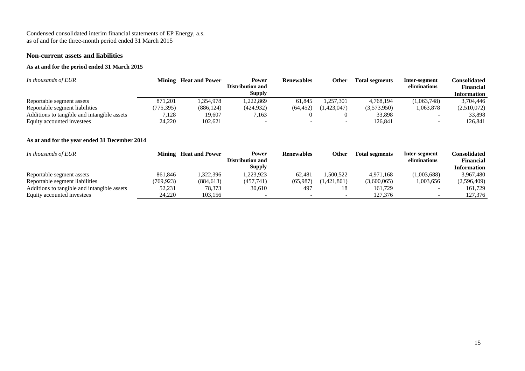#### **Non-current assets and liabilities**

## **As at and for the period ended 31 March 2015**

| In thousands of EUR                         |           | <b>Mining</b> Heat and Power | Power            | <b>Renewables</b> | Other       | <b>Total segments</b> | Inter-segment | Consolidated       |
|---------------------------------------------|-----------|------------------------------|------------------|-------------------|-------------|-----------------------|---------------|--------------------|
|                                             |           |                              | Distribution and |                   |             |                       | eliminations  | Financial          |
|                                             |           |                              | <b>Supply</b>    |                   |             |                       |               | <b>Information</b> |
| Reportable segment assets                   | 871,201   | 1,354,978                    | 1,222,869        | 61.845            | .257.301    | 4,768,194             | (1,063,748)   | 3.704.446          |
| Reportable segment liabilities              | (775.395) | (886, 124)                   | (424, 932)       | (64.452)          | (1.423.047) | (3,573,950)           | 1,063,878     | (2,510,072)        |
| Additions to tangible and intangible assets | 7,128     | 19,607                       | 7,163            |                   |             | 33,898                |               | 33,898             |
| Equity accounted investees                  | 24.220    | 102.621                      |                  |                   |             | 126.841               |               | 126.841            |

#### **As at and for the year ended 31 December 2014**

| In thousands of EUR                         |          | <b>Mining</b> Heat and Power | Power<br>Distribution and | <b>Renewables</b> | <b>Other</b> | <b>Total segments</b> | Inter-segment<br>eliminations | <b>Consolidated</b><br>Financial |
|---------------------------------------------|----------|------------------------------|---------------------------|-------------------|--------------|-----------------------|-------------------------------|----------------------------------|
|                                             |          |                              | Supply                    |                   |              |                       |                               | <b>Information</b>               |
| Reportable segment assets                   | 861,846  | .322,396                     | ,223,923                  | 62,481            | ,500,522     | 4,971,168             | (1,003,688)                   | 3,967,480                        |
| Reportable segment liabilities              | 769,923) | (884, 613)                   | (457,741)                 | (65.987)          | (1.421.801)  | (3,600,065)           | 1,003,656                     | (2,596,409)                      |
| Additions to tangible and intangible assets | 52,231   | 78,373                       | 30,610                    | 497               |              | 161,729               |                               | 161.729                          |
| Equity accounted investees                  | 24,220   | 103.156                      |                           |                   |              | 127,376               |                               | 127.376                          |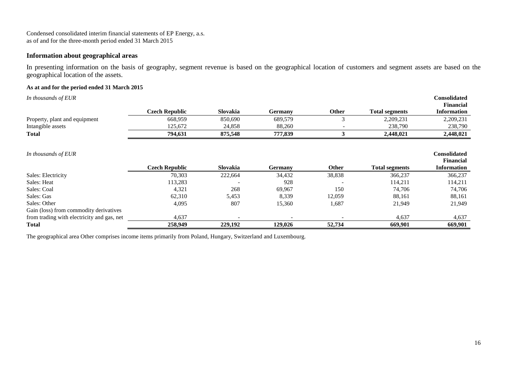## **Information about geographical areas**

In presenting information on the basis of geography, segment revenue is based on the geographical location of customers and segment assets are based on the geographical location of the assets.

#### **As at and for the period ended 31 March 2015**

| In thousands of EUR                        |                       |          |                |              |                       | <b>Consolidated</b>                    |
|--------------------------------------------|-----------------------|----------|----------------|--------------|-----------------------|----------------------------------------|
|                                            | <b>Czech Republic</b> | Slovakia | <b>Germany</b> | Other        | <b>Total segments</b> | <b>Financial</b><br><b>Information</b> |
| Property, plant and equipment              | 668,959               | 850,690  | 689,579        | 3            | 2,209,231             | 2,209,231                              |
| Intangible assets                          | 125,672               | 24,858   | 88,260         |              | 238,790               | 238,790                                |
| <b>Total</b>                               | 794,631               | 875,548  | 777,839        |              | 2,448,021             | 2,448,021                              |
| In thousands of EUR                        |                       |          |                |              |                       | <b>Consolidated</b>                    |
|                                            | <b>Czech Republic</b> | Slovakia | <b>Germany</b> | <b>Other</b> | <b>Total segments</b> | <b>Financial</b><br><b>Information</b> |
| Sales: Electricity                         | 70,303                | 222,664  | 34,432         | 38,838       | 366,237               | 366,237                                |
| Sales: Heat                                | 113,283               |          | 928            |              | 114,211               | 114,211                                |
| Sales: Coal                                | 4,321                 | 268      | 69,967         | 150          | 74,706                | 74,706                                 |
| Sales: Gas                                 | 62,310                | 5,453    | 8,339          | 12,059       | 88,161                | 88,161                                 |
| Sales: Other                               | 4,095                 | 807      | 15,360         | 1,687        | 21,949                | 21,949                                 |
| Gain (loss) from commodity derivatives     |                       |          |                |              |                       |                                        |
| from trading with electricity and gas, net | 4,637                 |          |                |              | 4,637                 | 4,637                                  |
| <b>Total</b>                               | 258,949               | 229,192  | 129,026        | 52,734       | 669,901               | 669,901                                |

The geographical area Other comprises income items primarily from Poland, Hungary, Switzerland and Luxembourg.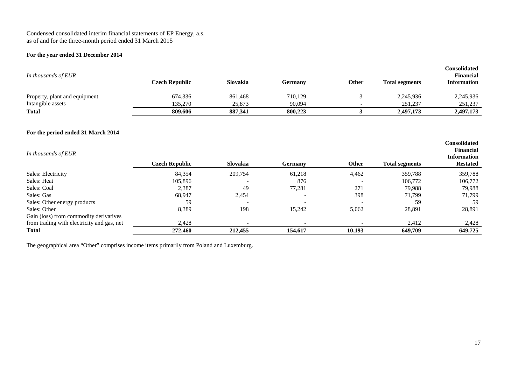#### **For the year ended 31 December 2014**

| In thousands of EUR                                | Czech Republic     | Slovakia          | Germanv           | <b>Other</b> | <b>Total segments</b> | Consolidated<br><b>Financial</b><br><b>Information</b> |
|----------------------------------------------------|--------------------|-------------------|-------------------|--------------|-----------------------|--------------------------------------------------------|
| Property, plant and equipment<br>Intangible assets | 674,336<br>135,270 | 861,468<br>25,873 | 710,129<br>90,094 |              | 2,245,936<br>251,237  | 2,245,936<br>251,237                                   |
| <b>Total</b>                                       | 809,606            | 887,341           | 800,223           |              | 2,497,173             | 2,497,173                                              |

#### **For the period ended 31 March 2014**

| In thousands of EUR                        | <b>Czech Republic</b> | Slovakia                 | <b>Germany</b> | <b>Other</b> | <b>Total segments</b> | <b>Consolidated</b><br>Financial<br><b>Information</b><br><b>Restated</b> |
|--------------------------------------------|-----------------------|--------------------------|----------------|--------------|-----------------------|---------------------------------------------------------------------------|
| Sales: Electricity                         | 84,354                | 209,754                  | 61,218         | 4,462        | 359,788               | 359,788                                                                   |
| Sales: Heat                                | 105,896               | $\overline{\phantom{0}}$ | 876            |              | 106,772               | 106,772                                                                   |
| Sales: Coal                                | 2,387                 | 49                       | 77,281         | 271          | 79,988                | 79,988                                                                    |
| Sales: Gas                                 | 68,947                | 2,454                    |                | 398          | 71,799                | 71,799                                                                    |
| Sales: Other energy products               | 59                    | $\overline{\phantom{0}}$ |                |              | 59                    | 59                                                                        |
| Sales: Other                               | 8,389                 | 198                      | 15.242         | 5,062        | 28,891                | 28,891                                                                    |
| Gain (loss) from commodity derivatives     |                       |                          |                |              |                       |                                                                           |
| from trading with electricity and gas, net | 2,428                 | $\overline{\phantom{0}}$ |                |              | 2,412                 | 2,428                                                                     |
| <b>Total</b>                               | 272,460               | 212,455                  | 154,617        | 10,193       | 649,709               | 649,725                                                                   |

The geographical area "Other" comprises income items primarily from Poland and Luxemburg.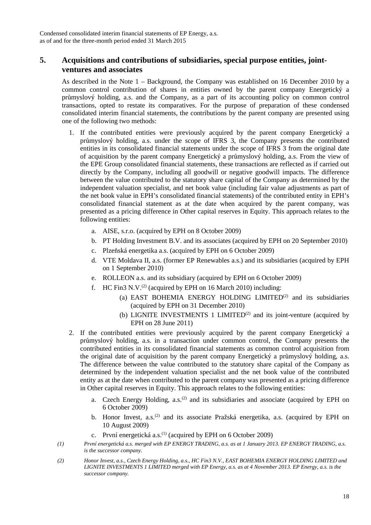## **5. Acquisitions and contributions of subsidiaries, special purpose entities, jointventures and associates**

As described in the Note  $1 -$ Background, the Company was established on 16 December 2010 by a common control contribution of shares in entities owned by the parent company Energetický a průmyslový holding, a.s. and the Company, as a part of its accounting policy on common control transactions, opted to restate its comparatives. For the purpose of preparation of these condensed consolidated interim financial statements, the contributions by the parent company are presented using one of the following two methods:

- 1. If the contributed entities were previously acquired by the parent company Energetický a průmyslový holding, a.s. under the scope of IFRS 3, the Company presents the contributed entities in its consolidated financial statements under the scope of IFRS 3 from the original date of acquisition by the parent company Energetický a průmyslový holding, a.s. From the view of the EPE Group consolidated financial statements, these transactions are reflected as if carried out directly by the Company, including all goodwill or negative goodwill impacts. The difference between the value contributed to the statutory share capital of the Company as determined by the independent valuation specialist, and net book value (including fair value adjustments as part of the net book value in EPH's consolidated financial statements) of the contributed entity in EPH's consolidated financial statement as at the date when acquired by the parent company, was presented as a pricing difference in Other capital reserves in Equity. This approach relates to the following entities:
	- a. AISE, s.r.o. (acquired by EPH on 8 October 2009)
	- b. PT Holding Investment B.V. and its associates (acquired by EPH on 20 September 2010)
	- c. Plzeňská energetika a.s. (acquired by EPH on 6 October 2009)
	- d. VTE Moldava II, a.s. (former EP Renewables a.s.) and its subsidiaries (acquired by EPH on 1 September 2010)
	- e. ROLLEON a.s. and its subsidiary (acquired by EPH on 6 October 2009)
	- f. HC Fin3 N.V.<sup>(2)</sup> (acquired by EPH on 16 March 2010) including:
		- (a) EAST BOHEMIA ENERGY HOLDING LIMITED<sup>(2)</sup> and its subsidiaries (acquired by EPH on 31 December 2010)
		- (b) LIGNITE INVESTMENTS 1 LIMITED<sup>(2)</sup> and its joint-venture (acquired by EPH on 28 June 2011)
- 2. If the contributed entities were previously acquired by the parent company Energetický a průmyslový holding, a.s. in a transaction under common control, the Company presents the contributed entities in its consolidated financial statements as common control acquisition from the original date of acquisition by the parent company Energetický a průmyslový holding, a.s. The difference between the value contributed to the statutory share capital of the Company as determined by the independent valuation specialist and the net book value of the contributed entity as at the date when contributed to the parent company was presented as a pricing difference in Other capital reserves in Equity. This approach relates to the following entities:
	- a. Czech Energy Holding,  $a.s.<sup>(2)</sup>$  and its subsidiaries and associate (acquired by EPH on 6 October 2009)
	- b. Honor Invest, a.s.<sup>(2)</sup> and its associate Pražská energetika, a.s. (acquired by EPH on 10 August 2009)
	- c. První energetická a.s. $^{(1)}$  (acquired by EPH on 6 October 2009)
- *(1) První energetická a.s. merged with EP ENERGY TRADING, a.s. as at 1 January 2013. EP ENERGY TRADING, a.s. is the successor company.*
- *(2) Honor Invest, a.s., Czech Energy Holding, a.s., HC Fin3 N.V., EAST BOHEMIA ENERGY HOLDING LIMITED and LIGNITE INVESTMENTS 1 LIMITED merged with EP Energy, a.s. as at 4 November 2013. EP Energy, a.s. is the successor company.*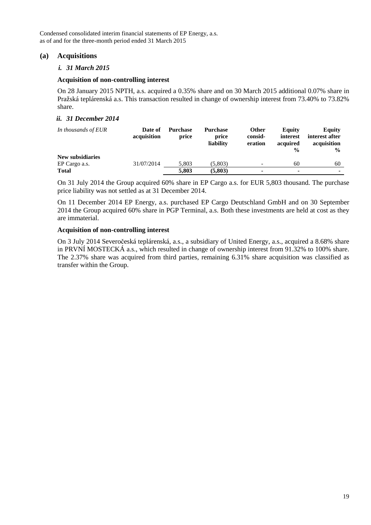## **(a) Acquisitions**

#### *i. 31 March 2015*

#### **Acquisition of non-controlling interest**

On 28 January 2015 NPTH, a.s. acquired a 0.35% share and on 30 March 2015 additional 0.07% share in Pražská teplárenská a.s. This transaction resulted in change of ownership interest from 73.40% to 73.82% share.

#### *ii. 31 December 2014*

| In thousands of EUR     | Date of<br>acquisition | <b>Purchase</b><br>price | <b>Purchase</b><br>price<br>liability | Other<br>consid-<br>eration | <b>Equity</b><br>interest<br>acquired<br>$\frac{0}{0}$ | <b>Equity</b><br>interest after<br>acquisition<br>$\frac{0}{0}$ |
|-------------------------|------------------------|--------------------------|---------------------------------------|-----------------------------|--------------------------------------------------------|-----------------------------------------------------------------|
| <b>New subsidiaries</b> |                        |                          |                                       |                             |                                                        |                                                                 |
| EP Cargo a.s.           | 31/07/2014             | 5.803                    | (5.803)                               | ۰                           | 60                                                     | 60                                                              |
| <b>Total</b>            |                        | 5.803                    | (5,803)                               | ۰                           | $\blacksquare$                                         |                                                                 |

On 31 July 2014 the Group acquired 60% share in EP Cargo a.s. for EUR 5,803 thousand. The purchase price liability was not settled as at 31 December 2014.

On 11 December 2014 EP Energy, a.s. purchased EP Cargo Deutschland GmbH and on 30 September 2014 the Group acquired 60% share in PGP Terminal, a.s. Both these investments are held at cost as they are immaterial.

#### **Acquisition of non-controlling interest**

On 3 July 2014 Severočeská teplárenská, a.s., a subsidiary of United Energy, a.s., acquired a 8.68% share in PRVNÍ MOSTECKÁ a.s., which resulted in change of ownership interest from 91.32% to 100% share. The 2.37% share was acquired from third parties, remaining 6.31% share acquisition was classified as transfer within the Group.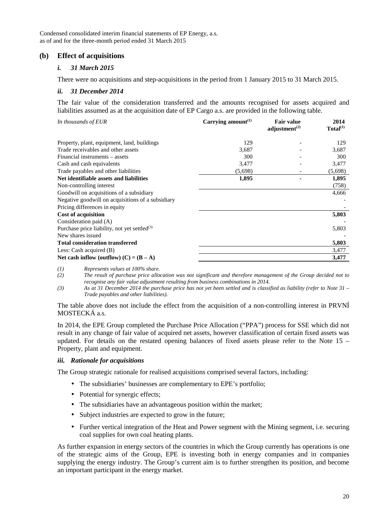## **(b) Effect of acquisitions**

#### *i. 31 March 2015*

There were no acquisitions and step-acquisitions in the period from 1 January 2015 to 31 March 2015.

#### *ii. 31 December 2014*

The fair value of the consideration transferred and the amounts recognised for assets acquired and liabilities assumed as at the acquisition date of EP Cargo a.s. are provided in the following table.

| In thousands of EUR                               | Carrying amount $(1)$ | <b>Fair value</b><br>adjustment $(2)$ | 2014<br>Total <sup>(1)</sup> |
|---------------------------------------------------|-----------------------|---------------------------------------|------------------------------|
| Property, plant, equipment, land, buildings       | 129                   |                                       | 129                          |
| Trade receivables and other assets                | 3,687                 |                                       | 3,687                        |
| Financial instruments - assets                    | 300                   |                                       | 300                          |
| Cash and cash equivalents                         | 3,477                 |                                       | 3,477                        |
| Trade payables and other liabilities              | (5,698)               |                                       | (5,698)                      |
| Net identifiable assets and liabilities           | 1,895                 |                                       | 1,895                        |
| Non-controlling interest                          |                       |                                       | (758)                        |
| Goodwill on acquisitions of a subsidiary          |                       |                                       | 4,666                        |
| Negative goodwill on acquisitions of a subsidiary |                       |                                       |                              |
| Pricing differences in equity                     |                       |                                       |                              |
| <b>Cost of acquisition</b>                        |                       |                                       | 5,803                        |
| Consideration paid (A)                            |                       |                                       |                              |
| Purchase price liability, not yet settled $(3)$   |                       |                                       | 5,803                        |
| New shares issued                                 |                       |                                       |                              |
| <b>Total consideration transferred</b>            |                       |                                       | 5,803                        |
| Less: Cash acquired $(B)$                         |                       |                                       | 3,477                        |
| Net cash inflow (outflow) $(C) = (B - A)$         |                       |                                       | 3,477                        |

*(1) Represents values at 100% share.* 

*(2) The result of purchase price allocation was not significant and therefore management of the Group decided not to recognise any fair value adjustment resulting from business combinations in 2014.* 

*(3) As at 31 December 2014 the purchase price has not yet been settled and is classified as liability (refer to Note 31 – Trade payables and other liabilities).* 

The table above does not include the effect from the acquisition of a non-controlling interest in PRVNÍ MOSTECKÁ a.s.

In 2014, the EPE Group completed the Purchase Price Allocation ("PPA") process for SSE which did not result in any change of fair value of acquired net assets, however classification of certain fixed assets was updated. For details on the restated opening balances of fixed assets please refer to the Note 15 – Property, plant and equipment.

#### *iii. Rationale for acquisitions*

The Group strategic rationale for realised acquisitions comprised several factors, including:

- The subsidiaries' businesses are complementary to EPE's portfolio;
- Potential for synergic effects;
- The subsidiaries have an advantageous position within the market;
- Subject industries are expected to grow in the future;
- Further vertical integration of the Heat and Power segment with the Mining segment, i.e. securing coal supplies for own coal heating plants.

As further expansion in energy sectors of the countries in which the Group currently has operations is one of the strategic aims of the Group, EPE is investing both in energy companies and in companies supplying the energy industry. The Group's current aim is to further strengthen its position, and become an important participant in the energy market.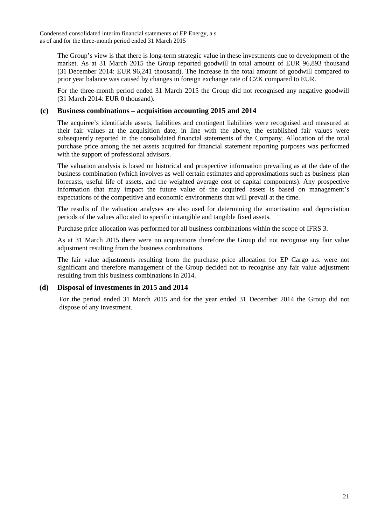The Group's view is that there is long-term strategic value in these investments due to development of the market. As at 31 March 2015 the Group reported goodwill in total amount of EUR 96,893 thousand (31 December 2014: EUR 96,241 thousand). The increase in the total amount of goodwill compared to prior year balance was caused by changes in foreign exchange rate of CZK compared to EUR.

For the three-month period ended 31 March 2015 the Group did not recognised any negative goodwill (31 March 2014: EUR 0 thousand).

## **(c) Business combinations – acquisition accounting 2015 and 2014**

The acquiree's identifiable assets, liabilities and contingent liabilities were recognised and measured at their fair values at the acquisition date; in line with the above, the established fair values were subsequently reported in the consolidated financial statements of the Company. Allocation of the total purchase price among the net assets acquired for financial statement reporting purposes was performed with the support of professional advisors.

The valuation analysis is based on historical and prospective information prevailing as at the date of the business combination (which involves as well certain estimates and approximations such as business plan forecasts, useful life of assets, and the weighted average cost of capital components). Any prospective information that may impact the future value of the acquired assets is based on management's expectations of the competitive and economic environments that will prevail at the time.

The results of the valuation analyses are also used for determining the amortisation and depreciation periods of the values allocated to specific intangible and tangible fixed assets.

Purchase price allocation was performed for all business combinations within the scope of IFRS 3.

As at 31 March 2015 there were no acquisitions therefore the Group did not recognise any fair value adjustment resulting from the business combinations.

The fair value adjustments resulting from the purchase price allocation for EP Cargo a.s. were not significant and therefore management of the Group decided not to recognise any fair value adjustment resulting from this business combinations in 2014.

#### **(d) Disposal of investments in 2015 and 2014**

For the period ended 31 March 2015 and for the year ended 31 December 2014 the Group did not dispose of any investment.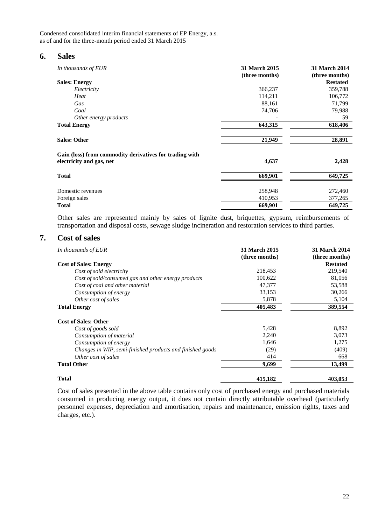#### **6. Sales**

| In thousands of EUR                                                                 | 31 March 2015<br>(three months) | <b>31 March 2014</b><br>(three months) |
|-------------------------------------------------------------------------------------|---------------------------------|----------------------------------------|
| <b>Sales: Energy</b>                                                                |                                 | <b>Restated</b>                        |
| Electricity                                                                         | 366,237                         | 359,788                                |
| Heat                                                                                | 114,211                         | 106,772                                |
| Gas                                                                                 | 88,161                          | 71,799                                 |
| Coal                                                                                | 74,706                          | 79,988                                 |
| Other energy products                                                               |                                 | 59                                     |
| <b>Total Energy</b>                                                                 | 643,315                         | 618,406                                |
| <b>Sales: Other</b>                                                                 | 21,949                          | 28,891                                 |
| Gain (loss) from commodity derivatives for trading with<br>electricity and gas, net | 4,637                           | 2,428                                  |
|                                                                                     |                                 |                                        |
| <b>Total</b>                                                                        | 669,901                         | 649,725                                |
| Domestic revenues                                                                   | 258,948                         | 272,460                                |
| Foreign sales                                                                       | 410,953                         | 377,265                                |
| <b>Total</b>                                                                        | 669,901                         | 649,725                                |

Other sales are represented mainly by sales of lignite dust, briquettes, gypsum, reimbursements of transportation and disposal costs, sewage sludge incineration and restoration services to third parties.

## **7. Cost of sales**

| In thousands of EUR                                       | 31 March 2015<br>(three months) | <b>31 March 2014</b><br>(three months) |
|-----------------------------------------------------------|---------------------------------|----------------------------------------|
| <b>Cost of Sales: Energy</b>                              |                                 | <b>Restated</b>                        |
| Cost of sold electricity                                  | 218,453                         | 219,540                                |
| Cost of sold/consumed gas and other energy products       | 100,622                         | 81,056                                 |
| Cost of coal and other material                           | 47,377                          | 53,588                                 |
| Consumption of energy                                     | 33,153                          | 30,266                                 |
| Other cost of sales                                       | 5,878                           | 5,104                                  |
| <b>Total Energy</b>                                       | 405,483                         | 389,554                                |
| <b>Cost of Sales: Other</b>                               |                                 |                                        |
| Cost of goods sold                                        | 5,428                           | 8,892                                  |
| Consumption of material                                   | 2,240                           | 3,073                                  |
| Consumption of energy                                     | 1,646                           | 1,275                                  |
| Changes in WIP, semi-finished products and finished goods | (29)                            | (409)                                  |
| Other cost of sales                                       | 414                             | 668                                    |
| <b>Total Other</b>                                        | 9,699                           | 13,499                                 |
| <b>Total</b>                                              | 415,182                         | 403,053                                |

Cost of sales presented in the above table contains only cost of purchased energy and purchased materials consumed in producing energy output, it does not contain directly attributable overhead (particularly personnel expenses, depreciation and amortisation, repairs and maintenance, emission rights, taxes and charges, etc.).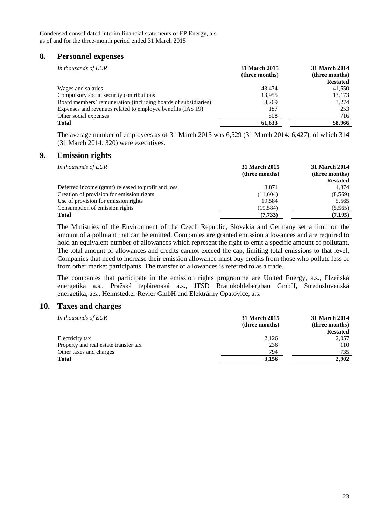## **8. Personnel expenses**

| In thousands of EUR                                            | 31 March 2015<br>(three months) | 31 March 2014<br>(three months)<br><b>Restated</b> |
|----------------------------------------------------------------|---------------------------------|----------------------------------------------------|
| Wages and salaries                                             | 43.474                          | 41,550                                             |
| Compulsory social security contributions                       | 13.955                          | 13,173                                             |
| Board members' remuneration (including boards of subsidiaries) | 3.209                           | 3.274                                              |
| Expenses and revenues related to employee benefits (IAS 19)    | 187                             | 253                                                |
| Other social expenses                                          | 808                             | 716                                                |
| Total                                                          | 61.633                          | 58,966                                             |

The average number of employees as of 31 March 2015 was 6,529 (31 March 2014: 6,427), of which 314 (31 March 2014: 320) were executives.

## **9. Emission rights**

| In thousands of EUR                                 | 31 March 2015<br>(three months) | 31 March 2014<br>(three months)<br><b>Restated</b> |
|-----------------------------------------------------|---------------------------------|----------------------------------------------------|
| Deferred income (grant) released to profit and loss | 3,871                           | 1,374                                              |
| Creation of provision for emission rights           | (11,604)                        | (8,569)                                            |
| Use of provision for emission rights                | 19.584                          | 5,565                                              |
| Consumption of emission rights                      | (19, 584)                       | (5, 565)                                           |
| <b>Total</b>                                        | (7, 733)                        | (7, 195)                                           |

The Ministries of the Environment of the Czech Republic, Slovakia and Germany set a limit on the amount of a pollutant that can be emitted. Companies are granted emission allowances and are required to hold an equivalent number of allowances which represent the right to emit a specific amount of pollutant. The total amount of allowances and credits cannot exceed the cap, limiting total emissions to that level. Companies that need to increase their emission allowance must buy credits from those who pollute less or from other market participants. The transfer of allowances is referred to as a trade.

The companies that participate in the emission rights programme are United Energy, a.s., Plzeňská energetika a.s., Pražská teplárenská a.s., JTSD Braunkohlebergbau GmbH, Stredoslovenská energetika, a.s., Helmstedter Revier GmbH and Elektrárny Opatovice, a.s.

#### **10. Taxes and charges**

| 31 March 2015<br>(three months) | 31 March 2014<br>(three months) |
|---------------------------------|---------------------------------|
|                                 | <b>Restated</b>                 |
| 2,126                           | 2,057                           |
| 236                             | 110                             |
| 794                             | 735                             |
| 3,156                           | 2.902                           |
|                                 |                                 |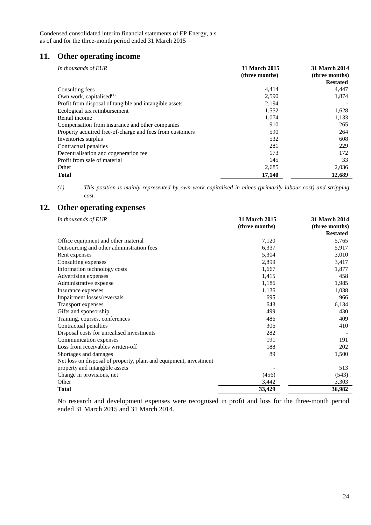## **11. Other operating income**

| In thousands of EUR                                      | 31 March 2015<br>(three months) | 31 March 2014<br>(three months)<br><b>Restated</b> |
|----------------------------------------------------------|---------------------------------|----------------------------------------------------|
| Consulting fees                                          | 4,414                           | 4,447                                              |
| Own work, capitalised $(1)$                              | 2,590                           | 1,874                                              |
| Profit from disposal of tangible and intangible assets   | 2,194                           |                                                    |
| Ecological tax reimbursement                             | 1,552                           | 1,628                                              |
| Rental income                                            | 1,074                           | 1,133                                              |
| Compensation from insurance and other companies          | 910                             | 265                                                |
| Property acquired free-of-charge and fees from customers | 590                             | 264                                                |
| Inventories surplus                                      | 532                             | 608                                                |
| Contractual penalties                                    | 281                             | 229                                                |
| Decentralisation and cogeneration fee                    | 173                             | 172                                                |
| Profit from sale of material                             | 145                             | 33                                                 |
| Other                                                    | 2,685                           | 2,036                                              |
| <b>Total</b>                                             | 17,140                          | 12,689                                             |

*(1) This position is mainly represented by own work capitalised in mines (primarily labour cost) and stripping cost.* 

## **12. Other operating expenses**

| In thousands of EUR                                               | 31 March 2015<br>(three months) | <b>31 March 2014</b><br>(three months) |
|-------------------------------------------------------------------|---------------------------------|----------------------------------------|
|                                                                   |                                 | <b>Restated</b>                        |
| Office equipment and other material                               | 7,120                           | 5,765                                  |
| Outsourcing and other administration fees                         | 6,337                           | 5,917                                  |
| Rent expenses                                                     | 5,304                           | 3,010                                  |
| Consulting expenses                                               | 2,899                           | 3,417                                  |
| Information technology costs                                      | 1,667                           | 1,877                                  |
| Advertising expenses                                              | 1,415                           | 458                                    |
| Administrative expense                                            | 1,186                           | 1,985                                  |
| Insurance expenses                                                | 1,136                           | 1,038                                  |
| Impairment losses/reversals                                       | 695                             | 966                                    |
| Transport expenses                                                | 643                             | 6,134                                  |
| Gifts and sponsorship                                             | 499                             | 430                                    |
| Training, courses, conferences                                    | 486                             | 409                                    |
| Contractual penalties                                             | 306                             | 410                                    |
| Disposal costs for unrealised investments                         | 282                             |                                        |
| Communication expenses                                            | 191                             | 191                                    |
| Loss from receivables written-off                                 | 188                             | 202                                    |
| Shortages and damages                                             | 89                              | 1,500                                  |
| Net loss on disposal of property, plant and equipment, investment |                                 |                                        |
| property and intangible assets                                    |                                 | 513                                    |
| Change in provisions, net                                         | (456)                           | (543)                                  |
| Other                                                             | 3,442                           | 3,303                                  |
| <b>Total</b>                                                      | 33,429                          | 36,982                                 |

No research and development expenses were recognised in profit and loss for the three-month period ended 31 March 2015 and 31 March 2014.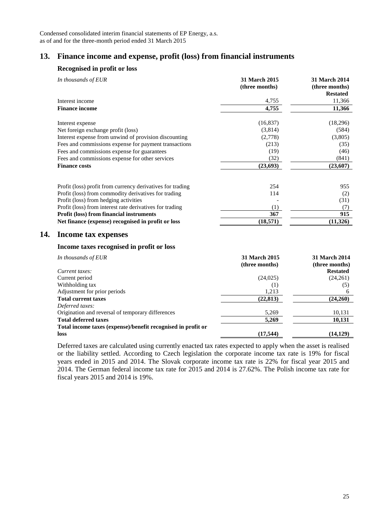## **13. Finance income and expense, profit (loss) from financial instruments**

#### **Recognised in profit or loss**

| 11,366<br>4,755<br>Interest income<br><b>Finance income</b><br>11,366<br>4,755<br>(16, 837)<br>(18,296)<br>Interest expense<br>Net foreign exchange profit (loss)<br>(3,814)<br>(584)<br>Interest expense from unwind of provision discounting<br>(2,778)<br>(3,805)<br>Fees and commissions expense for payment transactions<br>(213)<br>(35)<br>Fees and commissions expense for guarantees<br>(19)<br>(46)<br>Fees and commissions expense for other services<br>(32)<br>(841)<br><b>Finance costs</b><br>(23, 693)<br>(23,607)<br>Profit (loss) profit from currency derivatives for trading<br>254<br>955<br>Profit (loss) from commodity derivatives for trading<br>114<br>(2)<br>Profit (loss) from hedging activities<br>(31)<br>Profit (loss) from interest rate derivatives for trading<br>(1)<br>(7)<br>$\overline{915}$<br>367<br>Profit (loss) from financial instruments<br>(11, 326)<br>(18,571)<br>Net finance (expense) recognised in profit or loss<br>14.<br>Income tax expenses<br>Income taxes recognised in profit or loss<br>31 March 2015<br>31 March 2014<br>In thousands of EUR<br>(three months)<br>(three months)<br>Current taxes:<br><b>Restated</b><br>Current period<br>(24, 025)<br>(24,261)<br>Withholding tax<br>(1)<br>(5)<br>1,213<br>Adjustment for prior periods<br>6<br>(24,260)<br><b>Total current taxes</b><br>(22, 813)<br>Deferred taxes:<br>Origination and reversal of temporary differences<br>5,269<br>10,131<br>10,131<br><b>Total deferred taxes</b><br>5,269<br>Total income taxes (expense)/benefit recognised in profit or | In thousands of EUR | 31 March 2015<br>(three months) | <b>31 March 2014</b><br>(three months)<br><b>Restated</b> |
|----------------------------------------------------------------------------------------------------------------------------------------------------------------------------------------------------------------------------------------------------------------------------------------------------------------------------------------------------------------------------------------------------------------------------------------------------------------------------------------------------------------------------------------------------------------------------------------------------------------------------------------------------------------------------------------------------------------------------------------------------------------------------------------------------------------------------------------------------------------------------------------------------------------------------------------------------------------------------------------------------------------------------------------------------------------------------------------------------------------------------------------------------------------------------------------------------------------------------------------------------------------------------------------------------------------------------------------------------------------------------------------------------------------------------------------------------------------------------------------------------------------------------------------------------------------------------------|---------------------|---------------------------------|-----------------------------------------------------------|
|                                                                                                                                                                                                                                                                                                                                                                                                                                                                                                                                                                                                                                                                                                                                                                                                                                                                                                                                                                                                                                                                                                                                                                                                                                                                                                                                                                                                                                                                                                                                                                                  |                     |                                 |                                                           |
|                                                                                                                                                                                                                                                                                                                                                                                                                                                                                                                                                                                                                                                                                                                                                                                                                                                                                                                                                                                                                                                                                                                                                                                                                                                                                                                                                                                                                                                                                                                                                                                  |                     |                                 |                                                           |
|                                                                                                                                                                                                                                                                                                                                                                                                                                                                                                                                                                                                                                                                                                                                                                                                                                                                                                                                                                                                                                                                                                                                                                                                                                                                                                                                                                                                                                                                                                                                                                                  |                     |                                 |                                                           |
|                                                                                                                                                                                                                                                                                                                                                                                                                                                                                                                                                                                                                                                                                                                                                                                                                                                                                                                                                                                                                                                                                                                                                                                                                                                                                                                                                                                                                                                                                                                                                                                  |                     |                                 |                                                           |
|                                                                                                                                                                                                                                                                                                                                                                                                                                                                                                                                                                                                                                                                                                                                                                                                                                                                                                                                                                                                                                                                                                                                                                                                                                                                                                                                                                                                                                                                                                                                                                                  |                     |                                 |                                                           |
|                                                                                                                                                                                                                                                                                                                                                                                                                                                                                                                                                                                                                                                                                                                                                                                                                                                                                                                                                                                                                                                                                                                                                                                                                                                                                                                                                                                                                                                                                                                                                                                  |                     |                                 |                                                           |
|                                                                                                                                                                                                                                                                                                                                                                                                                                                                                                                                                                                                                                                                                                                                                                                                                                                                                                                                                                                                                                                                                                                                                                                                                                                                                                                                                                                                                                                                                                                                                                                  |                     |                                 |                                                           |
|                                                                                                                                                                                                                                                                                                                                                                                                                                                                                                                                                                                                                                                                                                                                                                                                                                                                                                                                                                                                                                                                                                                                                                                                                                                                                                                                                                                                                                                                                                                                                                                  |                     |                                 |                                                           |
|                                                                                                                                                                                                                                                                                                                                                                                                                                                                                                                                                                                                                                                                                                                                                                                                                                                                                                                                                                                                                                                                                                                                                                                                                                                                                                                                                                                                                                                                                                                                                                                  |                     |                                 |                                                           |
|                                                                                                                                                                                                                                                                                                                                                                                                                                                                                                                                                                                                                                                                                                                                                                                                                                                                                                                                                                                                                                                                                                                                                                                                                                                                                                                                                                                                                                                                                                                                                                                  |                     |                                 |                                                           |
|                                                                                                                                                                                                                                                                                                                                                                                                                                                                                                                                                                                                                                                                                                                                                                                                                                                                                                                                                                                                                                                                                                                                                                                                                                                                                                                                                                                                                                                                                                                                                                                  |                     |                                 |                                                           |
|                                                                                                                                                                                                                                                                                                                                                                                                                                                                                                                                                                                                                                                                                                                                                                                                                                                                                                                                                                                                                                                                                                                                                                                                                                                                                                                                                                                                                                                                                                                                                                                  |                     |                                 |                                                           |
|                                                                                                                                                                                                                                                                                                                                                                                                                                                                                                                                                                                                                                                                                                                                                                                                                                                                                                                                                                                                                                                                                                                                                                                                                                                                                                                                                                                                                                                                                                                                                                                  |                     |                                 |                                                           |
|                                                                                                                                                                                                                                                                                                                                                                                                                                                                                                                                                                                                                                                                                                                                                                                                                                                                                                                                                                                                                                                                                                                                                                                                                                                                                                                                                                                                                                                                                                                                                                                  |                     |                                 |                                                           |
|                                                                                                                                                                                                                                                                                                                                                                                                                                                                                                                                                                                                                                                                                                                                                                                                                                                                                                                                                                                                                                                                                                                                                                                                                                                                                                                                                                                                                                                                                                                                                                                  |                     |                                 |                                                           |
|                                                                                                                                                                                                                                                                                                                                                                                                                                                                                                                                                                                                                                                                                                                                                                                                                                                                                                                                                                                                                                                                                                                                                                                                                                                                                                                                                                                                                                                                                                                                                                                  |                     |                                 |                                                           |
|                                                                                                                                                                                                                                                                                                                                                                                                                                                                                                                                                                                                                                                                                                                                                                                                                                                                                                                                                                                                                                                                                                                                                                                                                                                                                                                                                                                                                                                                                                                                                                                  |                     |                                 |                                                           |
|                                                                                                                                                                                                                                                                                                                                                                                                                                                                                                                                                                                                                                                                                                                                                                                                                                                                                                                                                                                                                                                                                                                                                                                                                                                                                                                                                                                                                                                                                                                                                                                  |                     |                                 |                                                           |
|                                                                                                                                                                                                                                                                                                                                                                                                                                                                                                                                                                                                                                                                                                                                                                                                                                                                                                                                                                                                                                                                                                                                                                                                                                                                                                                                                                                                                                                                                                                                                                                  |                     |                                 |                                                           |
|                                                                                                                                                                                                                                                                                                                                                                                                                                                                                                                                                                                                                                                                                                                                                                                                                                                                                                                                                                                                                                                                                                                                                                                                                                                                                                                                                                                                                                                                                                                                                                                  |                     |                                 |                                                           |
|                                                                                                                                                                                                                                                                                                                                                                                                                                                                                                                                                                                                                                                                                                                                                                                                                                                                                                                                                                                                                                                                                                                                                                                                                                                                                                                                                                                                                                                                                                                                                                                  |                     |                                 |                                                           |
|                                                                                                                                                                                                                                                                                                                                                                                                                                                                                                                                                                                                                                                                                                                                                                                                                                                                                                                                                                                                                                                                                                                                                                                                                                                                                                                                                                                                                                                                                                                                                                                  |                     |                                 |                                                           |
|                                                                                                                                                                                                                                                                                                                                                                                                                                                                                                                                                                                                                                                                                                                                                                                                                                                                                                                                                                                                                                                                                                                                                                                                                                                                                                                                                                                                                                                                                                                                                                                  |                     |                                 |                                                           |
|                                                                                                                                                                                                                                                                                                                                                                                                                                                                                                                                                                                                                                                                                                                                                                                                                                                                                                                                                                                                                                                                                                                                                                                                                                                                                                                                                                                                                                                                                                                                                                                  |                     |                                 |                                                           |
|                                                                                                                                                                                                                                                                                                                                                                                                                                                                                                                                                                                                                                                                                                                                                                                                                                                                                                                                                                                                                                                                                                                                                                                                                                                                                                                                                                                                                                                                                                                                                                                  |                     |                                 |                                                           |
|                                                                                                                                                                                                                                                                                                                                                                                                                                                                                                                                                                                                                                                                                                                                                                                                                                                                                                                                                                                                                                                                                                                                                                                                                                                                                                                                                                                                                                                                                                                                                                                  |                     |                                 |                                                           |
|                                                                                                                                                                                                                                                                                                                                                                                                                                                                                                                                                                                                                                                                                                                                                                                                                                                                                                                                                                                                                                                                                                                                                                                                                                                                                                                                                                                                                                                                                                                                                                                  |                     |                                 |                                                           |
|                                                                                                                                                                                                                                                                                                                                                                                                                                                                                                                                                                                                                                                                                                                                                                                                                                                                                                                                                                                                                                                                                                                                                                                                                                                                                                                                                                                                                                                                                                                                                                                  |                     |                                 |                                                           |
|                                                                                                                                                                                                                                                                                                                                                                                                                                                                                                                                                                                                                                                                                                                                                                                                                                                                                                                                                                                                                                                                                                                                                                                                                                                                                                                                                                                                                                                                                                                                                                                  | loss                | (17, 544)                       | (14, 129)                                                 |

Deferred taxes are calculated using currently enacted tax rates expected to apply when the asset is realised or the liability settled. According to Czech legislation the corporate income tax rate is 19% for fiscal years ended in 2015 and 2014. The Slovak corporate income tax rate is 22% for fiscal year 2015 and 2014. The German federal income tax rate for 2015 and 2014 is 27.62%. The Polish income tax rate for fiscal years 2015 and 2014 is 19%.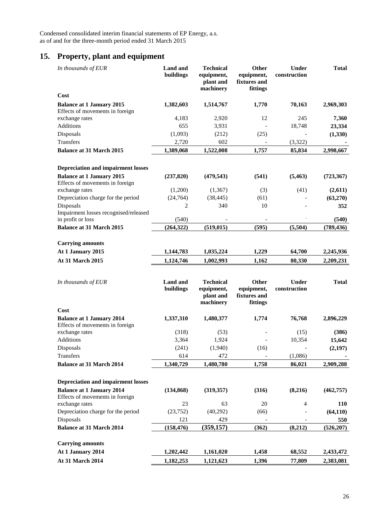## **15. Property, plant and equipment**

| In thousands of EUR                                                 | <b>Land</b> and<br>buildings | <b>Technical</b><br>equipment,<br>plant and<br>machinery | Other<br>equipment,<br>fixtures and<br>fittings | <b>Under</b><br>construction | <b>Total</b> |
|---------------------------------------------------------------------|------------------------------|----------------------------------------------------------|-------------------------------------------------|------------------------------|--------------|
| Cost                                                                |                              |                                                          |                                                 |                              |              |
| <b>Balance at 1 January 2015</b>                                    | 1,382,603                    | 1,514,767                                                | 1,770                                           | 70,163                       | 2,969,303    |
| Effects of movements in foreign                                     |                              |                                                          |                                                 |                              |              |
| exchange rates                                                      | 4,183                        | 2,920                                                    | 12                                              | 245                          | 7,360        |
| Additions                                                           | 655                          | 3,931                                                    |                                                 | 18,748                       | 23,334       |
| Disposals                                                           | (1,093)                      | (212)                                                    | (25)                                            |                              | (1, 330)     |
| Transfers                                                           | 2,720                        | 602                                                      |                                                 | (3,322)                      |              |
| <b>Balance at 31 March 2015</b>                                     | 1,389,068                    | 1,522,008                                                | 1,757                                           | 85,834                       | 2,998,667    |
| <b>Depreciation and impairment losses</b>                           |                              |                                                          |                                                 |                              |              |
| <b>Balance at 1 January 2015</b>                                    | (237, 820)                   | (479, 543)                                               | (541)                                           | (5, 463)                     | (723, 367)   |
| Effects of movements in foreign                                     |                              |                                                          |                                                 |                              |              |
| exchange rates                                                      | (1,200)                      | (1, 367)                                                 | (3)                                             | (41)                         | (2,611)      |
| Depreciation charge for the period                                  | (24, 764)                    | (38, 445)                                                | (61)                                            |                              | (63,270)     |
| Disposals                                                           | 2                            | 340                                                      | 10                                              |                              | 352          |
| Impairment losses recognised/released                               |                              |                                                          |                                                 |                              |              |
| in profit or loss                                                   | (540)                        |                                                          |                                                 |                              | (540)        |
| <b>Balance at 31 March 2015</b>                                     | (264, 322)                   | (519, 015)                                               | (595)                                           | (5,504)                      | (789, 436)   |
| <b>Carrying amounts</b>                                             |                              |                                                          |                                                 |                              |              |
| At 1 January 2015                                                   | 1,144,783                    | 1,035,224                                                | 1,229                                           | 64,700                       | 2,245,936    |
| At 31 March 2015                                                    | 1,124,746                    | 1,002,993                                                | 1,162                                           | 80,330                       | 2,209,231    |
| In thousands of EUR                                                 | <b>Land</b> and<br>buildings | <b>Technical</b><br>equipment,<br>plant and<br>machinery | Other<br>equipment,<br>fixtures and<br>fittings | <b>Under</b><br>construction | <b>Total</b> |
| Cost                                                                |                              |                                                          |                                                 |                              |              |
| <b>Balance at 1 January 2014</b><br>Effects of movements in foreign | 1,337,310                    | 1,480,377                                                | 1,774                                           | 76,768                       | 2,896,229    |
| exchange rates                                                      | (318)                        | (53)                                                     |                                                 | (15)                         | (386)        |
| Additions                                                           | 3,364                        | 1,924                                                    |                                                 | 10,354                       | 15,642       |
| Disposals                                                           | (241)                        | (1,940)                                                  | (16)                                            |                              | (2,197)      |
| Transfers                                                           | 614                          | 472                                                      |                                                 | (1,086)                      |              |
| <b>Balance at 31 March 2014</b>                                     | 1,340,729                    | 1,480,780                                                | 1,758                                           | 86,021                       | 2,909,288    |
| <b>Depreciation and impairment losses</b>                           |                              |                                                          |                                                 |                              |              |
| <b>Balance at 1 January 2014</b><br>Effects of movements in foreign | (134, 868)                   | (319, 357)                                               | (316)                                           | (8,216)                      | (462, 757)   |
| exchange rates                                                      | 23                           | 63                                                       | $20\,$                                          | $\overline{4}$               | <b>110</b>   |
| Depreciation charge for the period                                  | (23,752)                     | (40, 292)                                                | (66)                                            |                              | (64, 110)    |
| Disposals                                                           | 121                          | 429                                                      |                                                 |                              | 550          |
| <b>Balance at 31 March 2014</b>                                     | (158, 476)                   | (359, 157)                                               | (362)                                           | (8,212)                      | (526, 207)   |
| <b>Carrying amounts</b>                                             |                              |                                                          |                                                 |                              |              |
| At 1 January 2014                                                   | 1,202,442                    | 1,161,020                                                | 1,458                                           | 68,552                       | 2,433,472    |
|                                                                     |                              |                                                          |                                                 |                              |              |
| At 31 March 2014                                                    | 1,182,253                    | 1,121,623                                                | 1,396                                           | 77,809                       | 2,383,081    |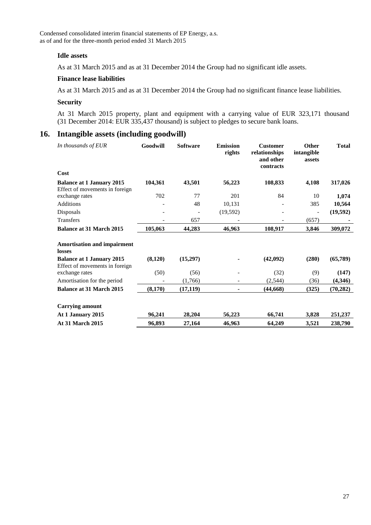#### **Idle assets**

As at 31 March 2015 and as at 31 December 2014 the Group had no significant idle assets.

#### **Finance lease liabilities**

As at 31 March 2015 and as at 31 December 2014 the Group had no significant finance lease liabilities.

#### **Security**

At 31 March 2015 property, plant and equipment with a carrying value of EUR 323,171 thousand (31 December 2014: EUR 335,437 thousand) is subject to pledges to secure bank loans.

## **16. Intangible assets (including goodwill)**

| In thousands of EUR                                                | Goodwill | <b>Software</b> | <b>Emission</b><br>rights | <b>Customer</b><br>relationships<br>and other<br>contracts | <b>Other</b><br>intangible<br>assets | <b>Total</b> |
|--------------------------------------------------------------------|----------|-----------------|---------------------------|------------------------------------------------------------|--------------------------------------|--------------|
| Cost                                                               |          |                 |                           |                                                            |                                      |              |
| <b>Balance at 1 January 2015</b><br>Effect of movements in foreign | 104,361  | 43,501          | 56,223                    | 108,833                                                    | 4,108                                | 317,026      |
| exchange rates                                                     | 702      | 77              | 201                       | 84                                                         | 10                                   | 1,074        |
| <b>Additions</b>                                                   |          | 48              | 10,131                    |                                                            | 385                                  | 10,564       |
| Disposals                                                          |          |                 | (19, 592)                 |                                                            | $\overline{\phantom{a}}$             | (19, 592)    |
| <b>Transfers</b>                                                   |          | 657             |                           |                                                            | (657)                                |              |
| <b>Balance at 31 March 2015</b>                                    | 105,063  | 44,283          | 46,963                    | 108,917                                                    | 3,846                                | 309,072      |
| <b>Amortisation and impairment</b><br>losses                       |          |                 |                           |                                                            |                                      |              |
| <b>Balance at 1 January 2015</b><br>Effect of movements in foreign | (8,120)  | (15,297)        |                           | (42,092)                                                   | (280)                                | (65, 789)    |
| exchange rates                                                     | (50)     | (56)            |                           | (32)                                                       | (9)                                  | (147)        |
| Amortisation for the period                                        |          | (1,766)         |                           | (2, 544)                                                   | (36)                                 | (4,346)      |
| <b>Balance at 31 March 2015</b>                                    | (8,170)  | (17, 119)       |                           | (44, 668)                                                  | (325)                                | (70, 282)    |
| <b>Carrying amount</b>                                             |          |                 |                           |                                                            |                                      |              |
| At 1 January 2015                                                  | 96,241   | 28,204          | 56,223                    | 66,741                                                     | 3,828                                | 251,237      |
| <b>At 31 March 2015</b>                                            | 96,893   | 27,164          | 46,963                    | 64,249                                                     | 3,521                                | 238,790      |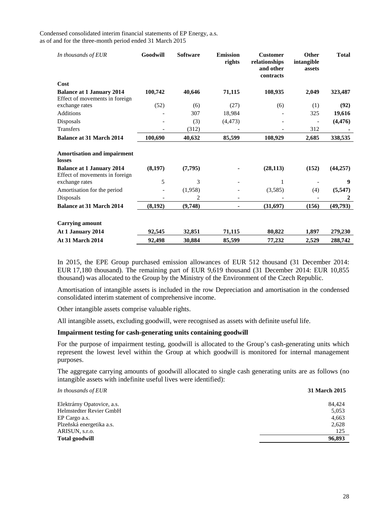| In thousands of EUR                                                | Goodwill | <b>Software</b> | <b>Emission</b><br>rights | <b>Customer</b><br>relationships<br>and other<br>contracts | <b>Other</b><br>intangible<br>assets | <b>Total</b> |
|--------------------------------------------------------------------|----------|-----------------|---------------------------|------------------------------------------------------------|--------------------------------------|--------------|
| Cost                                                               |          |                 |                           |                                                            |                                      |              |
| <b>Balance at 1 January 2014</b><br>Effect of movements in foreign | 100,742  | 40,646          | 71,115                    | 108,935                                                    | 2,049                                | 323,487      |
| exchange rates                                                     | (52)     | (6)             | (27)                      | (6)                                                        | (1)                                  | (92)         |
| <b>Additions</b>                                                   |          | 307             | 18,984                    |                                                            | 325                                  | 19,616       |
| Disposals                                                          |          | (3)             | (4, 473)                  |                                                            | $\overline{\phantom{a}}$             | (4, 476)     |
| <b>Transfers</b>                                                   |          | (312)           |                           |                                                            | 312                                  |              |
| <b>Balance at 31 March 2014</b>                                    | 100,690  | 40,632          | 85,599                    | 108,929                                                    | 2,685                                | 338,535      |
| <b>Amortisation and impairment</b><br>losses                       |          |                 |                           |                                                            |                                      |              |
| <b>Balance at 1 January 2014</b><br>Effect of movements in foreign | (8,197)  | (7,795)         |                           | (28, 113)                                                  | (152)                                | (44, 257)    |
| exchange rates                                                     | 5        | 3               |                           | 1                                                          |                                      | 9            |
| Amortisation for the period                                        |          | (1,958)         |                           | (3,585)                                                    | (4)                                  | (5, 547)     |
| Disposals                                                          |          | 2               |                           |                                                            |                                      | $\mathbf{2}$ |
| <b>Balance at 31 March 2014</b>                                    | (8,192)  | (9,748)         |                           | (31,697)                                                   | (156)                                | (49,793)     |
| <b>Carrying amount</b>                                             |          |                 |                           |                                                            |                                      |              |
| At 1 January 2014                                                  | 92,545   | 32,851          | 71,115                    | 80,822                                                     | 1,897                                | 279,230      |
| <b>At 31 March 2014</b>                                            | 92,498   | 30,884          | 85,599                    | 77,232                                                     | 2,529                                | 288,742      |

In 2015, the EPE Group purchased emission allowances of EUR 512 thousand (31 December 2014: EUR 17,180 thousand). The remaining part of EUR 9,619 thousand (31 December 2014: EUR 10,855 thousand) was allocated to the Group by the Ministry of the Environment of the Czech Republic.

Amortisation of intangible assets is included in the row Depreciation and amortisation in the condensed consolidated interim statement of comprehensive income.

Other intangible assets comprise valuable rights.

All intangible assets, excluding goodwill, were recognised as assets with definite useful life.

#### **Impairment testing for cash-generating units containing goodwill**

For the purpose of impairment testing, goodwill is allocated to the Group's cash-generating units which represent the lowest level within the Group at which goodwill is monitored for internal management purposes.

The aggregate carrying amounts of goodwill allocated to single cash generating units are as follows (no intangible assets with indefinite useful lives were identified):

| In thousands of EUR        | 31 March 2015 |
|----------------------------|---------------|
| Elektrárny Opatovice, a.s. | 84.424        |
| Helmstedter Revier GmbH    | 5,053         |
| EP Cargo a.s.              | 4,663         |
| Plzeňská energetika a.s.   | 2,628         |
| ARISUN, s.r.o.             | 125           |
| <b>Total goodwill</b>      | 96,893        |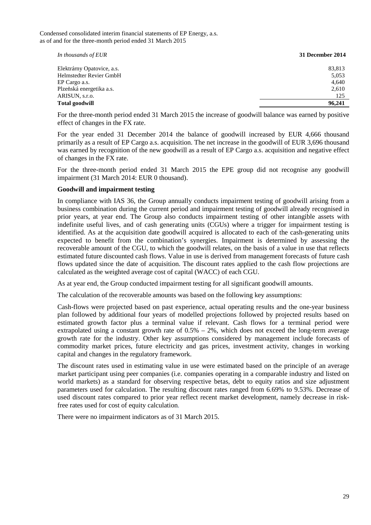| In thousands of EUR        | 31 December 2014 |
|----------------------------|------------------|
| Elektrárny Opatovice, a.s. | 83,813           |
| Helmstedter Revier GmbH    | 5,053            |
| EP Cargo a.s.              | 4,640            |
| Plzeňská energetika a.s.   | 2,610            |
| ARISUN, s.r.o.             | 125              |
| <b>Total goodwill</b>      | 96,241           |

For the three-month period ended 31 March 2015 the increase of goodwill balance was earned by positive effect of changes in the FX rate.

For the year ended 31 December 2014 the balance of goodwill increased by EUR 4,666 thousand primarily as a result of EP Cargo a.s. acquisition. The net increase in the goodwill of EUR 3,696 thousand was earned by recognition of the new goodwill as a result of EP Cargo a.s. acquisition and negative effect of changes in the FX rate.

For the three-month period ended 31 March 2015 the EPE group did not recognise any goodwill impairment (31 March 2014: EUR 0 thousand).

#### **Goodwill and impairment testing**

In compliance with IAS 36, the Group annually conducts impairment testing of goodwill arising from a business combination during the current period and impairment testing of goodwill already recognised in prior years, at year end. The Group also conducts impairment testing of other intangible assets with indefinite useful lives, and of cash generating units (CGUs) where a trigger for impairment testing is identified. As at the acquisition date goodwill acquired is allocated to each of the cash-generating units expected to benefit from the combination's synergies. Impairment is determined by assessing the recoverable amount of the CGU, to which the goodwill relates, on the basis of a value in use that reflects estimated future discounted cash flows. Value in use is derived from management forecasts of future cash flows updated since the date of acquisition. The discount rates applied to the cash flow projections are calculated as the weighted average cost of capital (WACC) of each CGU.

As at year end, the Group conducted impairment testing for all significant goodwill amounts.

The calculation of the recoverable amounts was based on the following key assumptions:

Cash-flows were projected based on past experience, actual operating results and the one-year business plan followed by additional four years of modelled projections followed by projected results based on estimated growth factor plus a terminal value if relevant. Cash flows for a terminal period were extrapolated using a constant growth rate of  $0.5% - 2%$ , which does not exceed the long-term average growth rate for the industry. Other key assumptions considered by management include forecasts of commodity market prices, future electricity and gas prices, investment activity, changes in working capital and changes in the regulatory framework.

The discount rates used in estimating value in use were estimated based on the principle of an average market participant using peer companies (i.e. companies operating in a comparable industry and listed on world markets) as a standard for observing respective betas, debt to equity ratios and size adjustment parameters used for calculation. The resulting discount rates ranged from 6.69% to 9.53%. Decrease of used discount rates compared to prior year reflect recent market development, namely decrease in riskfree rates used for cost of equity calculation.

There were no impairment indicators as of 31 March 2015.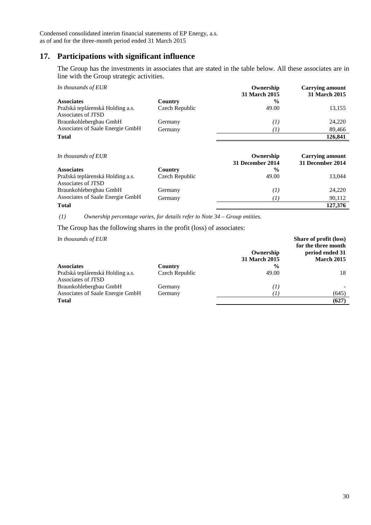## **17. Participations with significant influence**

The Group has the investments in associates that are stated in the table below. All these associates are in line with the Group strategic activities.

| In thousands of EUR              |                | Ownership<br>31 March 2015 | <b>Carrying amount</b><br>31 March 2015 |
|----------------------------------|----------------|----------------------------|-----------------------------------------|
| <b>Associates</b>                | Country        | $\frac{6}{9}$              |                                         |
| Pražská teplárenská Holding a.s. | Czech Republic | 49.00                      | 13,155                                  |
| Associates of JTSD               |                |                            |                                         |
| Braunkohlebergbau GmbH           | Germany        | (I)                        | 24,220                                  |
| Associates of Saale Energie GmbH | Germany        | T                          | 89,466                                  |
| <b>Total</b>                     |                |                            | 126,841                                 |

| In thousands of EUR              |                | Ownership<br>31 December 2014 | <b>Carrying amount</b><br>31 December 2014 |
|----------------------------------|----------------|-------------------------------|--------------------------------------------|
| <b>Associates</b>                | Country        | $\frac{0}{0}$                 |                                            |
| Pražská teplárenská Holding a.s. | Czech Republic | 49.00                         | 13.044                                     |
| Associates of JTSD               |                |                               |                                            |
| Braunkohlebergbau GmbH           | Germany        | (I)                           | 24,220                                     |
| Associates of Saale Energie GmbH | Germany        | $\left( I\right)$             | 90,112                                     |
| <b>Total</b>                     |                |                               | 127,376                                    |

 *(1) Ownership percentage varies, for details refer to Note 34 – Group entities.*

The Group has the following shares in the profit (loss) of associates:

*In thousands of EUR*

|                                  |                | Ownership         | $D1$ because $D2$ because $D1$<br>for the three month<br>period ended 31 |
|----------------------------------|----------------|-------------------|--------------------------------------------------------------------------|
|                                  |                | 31 March 2015     | <b>March 2015</b>                                                        |
| <b>Associates</b>                | Country        | $\frac{6}{9}$     |                                                                          |
| Pražská teplárenská Holding a.s. | Czech Republic | 49.00             | 18                                                                       |
| Associates of JTSD               |                |                   |                                                                          |
| Braunkohlebergbau GmbH           | Germany        | $\left( I\right)$ |                                                                          |
| Associates of Saale Energie GmbH | Germany        | Ί                 | (645)                                                                    |
| <b>Total</b>                     |                |                   | (627)                                                                    |

**Share of profit (loss)**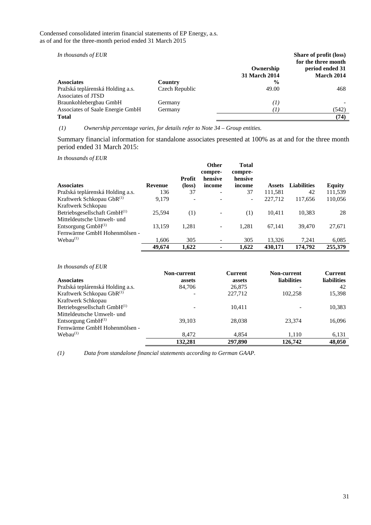*In thousands of EUR*

| In thousands of EUR                                    |                |                            | Share of profit (loss)<br>for the three month |
|--------------------------------------------------------|----------------|----------------------------|-----------------------------------------------|
|                                                        |                | Ownership<br>31 March 2014 | period ended 31<br>March 2014                 |
| <b>Associates</b>                                      | Country        | $\frac{6}{9}$              |                                               |
| Pražská teplárenská Holding a.s.<br>Associates of JTSD | Czech Republic | 49.00                      | 468                                           |
| Braunkohlebergbau GmbH                                 | Germany        | $\left( I\right)$          |                                               |
| Associates of Saale Energie GmbH                       | Germany        | $\left( I\right)$          | (542)                                         |
| <b>Total</b>                                           |                |                            | (74)                                          |

 *(1) Ownership percentage varies, for details refer to Note 34 – Group entities.*

Summary financial information for standalone associates presented at 100% as at and for the three month period ended 31 March 2015:

*In thousands of EUR* 

| <b>Associates</b>                     | <b>Revenue</b> | Profit<br>(loss) | <b>Other</b><br>compre-<br>hensive<br>income | <b>Total</b><br>compre-<br>hensive<br>income | Assets  | <b>Liabilities</b> | <b>Equity</b> |
|---------------------------------------|----------------|------------------|----------------------------------------------|----------------------------------------------|---------|--------------------|---------------|
| Pražská teplárenská Holding a.s.      | 136            | 37               | ۰                                            | 37                                           | 111,581 | 42                 | 111,539       |
| Kraftwerk Schkopau GbR <sup>(1)</sup> | 9,179          |                  |                                              | -                                            | 227,712 | 117,656            | 110,056       |
| Kraftwerk Schkopau                    |                |                  |                                              |                                              |         |                    |               |
| Betriebsgesellschaft GmbH(1)          | 25.594         | (1)              |                                              | (1)                                          | 10.411  | 10,383             | 28            |
| Mitteldeutsche Umwelt- und            |                |                  |                                              |                                              |         |                    |               |
| Entsorgung $GmbH^{(1)}$               | 13,159         | 1,281            |                                              | 1,281                                        | 67,141  | 39,470             | 27,671        |
| Fernwärme GmbH Hohenmölsen -          |                |                  |                                              |                                              |         |                    |               |
| Webau <sup>(1)</sup>                  | 1,606          | 305              | ۰                                            | 305                                          | 13,326  | 7,241              | 6,085         |
|                                       | 49,674         | 1,622            |                                              | 1,622                                        | 430,171 | 174,792            | 255,379       |

*In thousands of EUR*

|                                  | Non-current | <b>Current</b> | Non-current        | <b>Current</b>     |
|----------------------------------|-------------|----------------|--------------------|--------------------|
| <b>Associates</b>                | assets      | assets         | <b>liabilities</b> | <b>liabilities</b> |
| Pražská teplárenská Holding a.s. | 84,706      | 26,875         |                    | 42                 |
| Kraftwerk Schkopau GbR(1)        |             | 227,712        | 102.258            | 15,398             |
| Kraftwerk Schkopau               |             |                |                    |                    |
| Betriebsgesellschaft GmbH(1)     |             | 10.411         |                    | 10,383             |
| Mitteldeutsche Umwelt- und       |             |                |                    |                    |
| Entsorgung $GmbH^{(1)}$          | 39.103      | 28,038         | 23.374             | 16.096             |
| Fernwärme GmbH Hohenmölsen -     |             |                |                    |                    |
| Webau <sup>(1)</sup>             | 8.472       | 4,854          | 1,110              | 6,131              |
|                                  | 132.281     | 297,890        | 126,742            | 48,050             |

*(1) Data from standalone financial statements according to German GAAP.*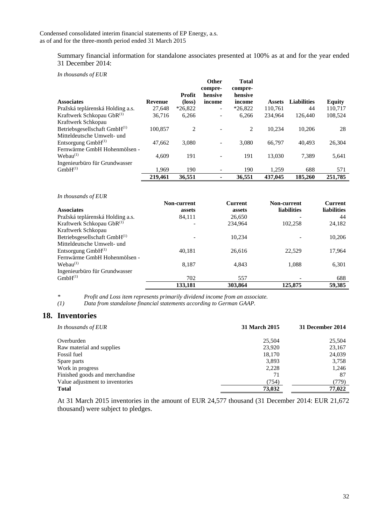Summary financial information for standalone associates presented at 100% as at and for the year ended 31 December 2014:

*In thousands of EUR* 

|                                       |         |           | <b>Other</b><br>compre-  | <b>Total</b><br>compre- |               |                    |               |
|---------------------------------------|---------|-----------|--------------------------|-------------------------|---------------|--------------------|---------------|
|                                       |         | Profit    | hensive                  | hensive                 |               |                    |               |
| <b>Associates</b>                     | Revenue | (loss)    | income                   | income                  | <b>Assets</b> | <b>Liabilities</b> | <b>Equity</b> |
| Pražská teplárenská Holding a.s.      | 27.648  | $*26.822$ | $\overline{\phantom{a}}$ | $*26.822$               | 110.761       | 44                 | 110.717       |
| Kraftwerk Schkopau GbR <sup>(1)</sup> | 36,716  | 6,266     | ۰                        | 6,266                   | 234,964       | 126,440            | 108,524       |
| Kraftwerk Schkopau                    |         |           |                          |                         |               |                    |               |
| Betriebsgesellschaft GmbH(1)          | 100.857 | 2         |                          | 2                       | 10.234        | 10,206             | 28            |
| Mitteldeutsche Umwelt- und            |         |           |                          |                         |               |                    |               |
| Entsorgung $GmbH^{(1)}$               | 47,662  | 3,080     | ۰                        | 3.080                   | 66,797        | 40.493             | 26,304        |
| Fernwärme GmbH Hohenmölsen -          |         |           |                          |                         |               |                    |               |
| Webau <sup>(1)</sup>                  | 4.609   | 191       | $\overline{\phantom{a}}$ | 191                     | 13.030        | 7.389              | 5,641         |
| Ingenieurbüro für Grundwasser         |         |           |                          |                         |               |                    |               |
| $GmbH^{(1)}$                          | 1,969   | 190       | $\overline{\phantom{a}}$ | 190                     | 1,259         | 688                | 571           |
|                                       | 219,461 | 36.551    | ۰                        | 36.551                  | 437,045       | 185,260            | 251,785       |

#### *In thousands of EUR*

|                                       | Non-current | <b>Current</b> | Non-current        | <b>Current</b>     |
|---------------------------------------|-------------|----------------|--------------------|--------------------|
| <b>Associates</b>                     | assets      | assets         | <b>liabilities</b> | <b>liabilities</b> |
| Pražská teplárenská Holding a.s.      | 84,111      | 26,650         |                    | 44                 |
| Kraftwerk Schkopau GbR <sup>(1)</sup> |             | 234,964        | 102,258            | 24,182             |
| Kraftwerk Schkopau                    |             |                |                    |                    |
| Betriebsgesellschaft GmbH(1)          |             | 10.234         |                    | 10,206             |
| Mitteldeutsche Umwelt- und            |             |                |                    |                    |
| Entsorgung $GmbH^{(1)}$               | 40.181      | 26,616         | 22,529             | 17,964             |
| Fernwärme GmbH Hohenmölsen -          |             |                |                    |                    |
| Webau <sup>(1)</sup>                  | 8.187       | 4.843          | 1.088              | 6,301              |
| Ingenieurbüro für Grundwasser         |             |                |                    |                    |
| $GmbH^{(1)}$                          | 702         | 557            |                    | 688                |
|                                       | 133,181     | 303,864        | 125,875            | 59.385             |

*\* Profit and Loss item represents primarily dividend income from an associate.* 

*(1) Data from standalone financial statements according to German GAAP.* 

## **18. Inventories**

| In thousands of EUR             | 31 March 2015 | 31 December 2014 |
|---------------------------------|---------------|------------------|
| Overburden                      | 25,504        | 25,504           |
| Raw material and supplies       | 23,920        | 23,167           |
| Fossil fuel                     | 18,170        | 24,039           |
| Spare parts                     | 3,893         | 3,758            |
| Work in progress                | 2,228         | 1.246            |
| Finished goods and merchandise  | 71            | 87               |
| Value adjustment to inventories | (754)         | (779)            |
| <b>Total</b>                    | 73,032        | 77,022           |

At 31 March 2015 inventories in the amount of EUR 24,577 thousand (31 December 2014: EUR 21,672 thousand) were subject to pledges.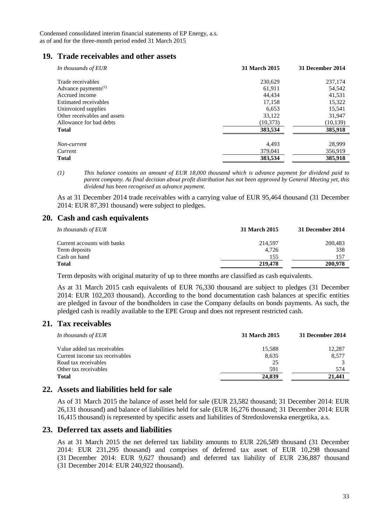## **19. Trade receivables and other assets**

| In thousands of EUR             | 31 March 2015 | 31 December 2014 |
|---------------------------------|---------------|------------------|
| Trade receivables               | 230,629       | 237,174          |
| Advance payments <sup>(1)</sup> | 61,911        | 54,542           |
| Accrued income                  | 44.434        | 41,531           |
| Estimated receivables           | 17,158        | 15,322           |
| Uninvoiced supplies             | 6,653         | 15,541           |
| Other receivables and assets    | 33,122        | 31,947           |
| Allowance for bad debts         | (10, 373)     | (10, 139)        |
| <b>Total</b>                    | 383,534       | 385,918          |
| Non-current                     | 4,493         | 28,999           |
| Current                         | 379,041       | 356,919          |
| <b>Total</b>                    | 383,534       | 385,918          |

*<sup>(1)</sup> This balance contains an amount of EUR 18,000 thousand which is advance payment for dividend paid to parent company. As final decision about profit distribution has not been approved by General Meeting yet, this dividend has been recognised as advance payment.* 

As at 31 December 2014 trade receivables with a carrying value of EUR 95,464 thousand (31 December 2014: EUR 87,391 thousand) were subject to pledges.

## **20. Cash and cash equivalents**

| In thousands of EUR         | 31 March 2015 | 31 December 2014 |
|-----------------------------|---------------|------------------|
| Current accounts with banks | 214.597       | 200,483          |
| Term deposits               | 4.726         | 338              |
| Cash on hand                | 155           | 157              |
| <b>Total</b>                | 219,478       | 200,978          |

Term deposits with original maturity of up to three months are classified as cash equivalents.

As at 31 March 2015 cash equivalents of EUR 76,330 thousand are subject to pledges (31 December 2014: EUR 102,203 thousand). According to the bond documentation cash balances at specific entities are pledged in favour of the bondholders in case the Company defaults on bonds payments. As such, the pledged cash is readily available to the EPE Group and does not represent restricted cash.

## **21. Tax receivables**

| In thousands of EUR            | 31 March 2015 | 31 December 2014 |
|--------------------------------|---------------|------------------|
| Value added tax receivables    | 15,588        | 12,287           |
| Current income tax receivables | 8,635         | 8,577            |
| Road tax receivables           | 25            |                  |
| Other tax receivables          | 591           | 574              |
| <b>Total</b>                   | 24,839        | 21,441           |
|                                |               |                  |

## **22. Assets and liabilities held for sale**

As of 31 March 2015 the balance of asset held for sale (EUR 23,582 thousand; 31 December 2014: EUR 26,131 thousand) and balance of liabilities held for sale (EUR 16,276 thousand; 31 December 2014: EUR 16,415 thousand) is represented by specific assets and liabilities of Stredoslovenska energetika, a.s.

## **23. Deferred tax assets and liabilities**

As at 31 March 2015 the net deferred tax liability amounts to EUR 226,589 thousand (31 December 2014: EUR 231,295 thousand) and comprises of deferred tax asset of EUR 10,298 thousand (31 December 2014: EUR 9,627 thousand) and deferred tax liability of EUR 236,887 thousand (31 December 2014: EUR 240,922 thousand).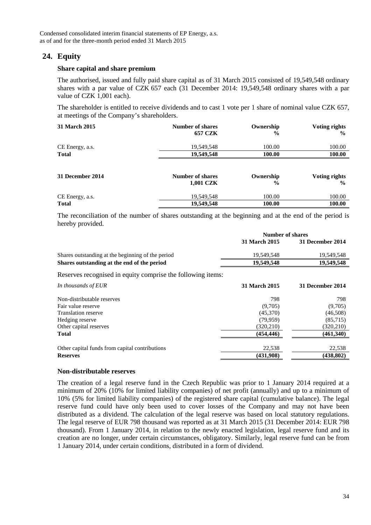## **24. Equity**

#### **Share capital and share premium**

The authorised, issued and fully paid share capital as of 31 March 2015 consisted of 19,549,548 ordinary shares with a par value of CZK 657 each (31 December 2014: 19,549,548 ordinary shares with a par value of CZK 1,001 each).

The shareholder is entitled to receive dividends and to cast 1 vote per 1 share of nominal value CZK 657, at meetings of the Company's shareholders.

| <b>31 March 2015</b> | <b>Number of shares</b><br><b>657 CZK</b> | Ownership<br>$\frac{6}{9}$ | Voting rights<br>$\frac{6}{9}$        |
|----------------------|-------------------------------------------|----------------------------|---------------------------------------|
| CE Energy, a.s.      | 19,549,548                                | 100.00                     | 100.00                                |
| <b>Total</b>         | 19,549,548                                | 100.00                     | 100.00                                |
| 31 December 2014     | <b>Number of shares</b><br>1,001 CZK      | Ownership<br>$\frac{6}{6}$ | <b>Voting rights</b><br>$\frac{6}{9}$ |
| CE Energy, a.s.      | 19,549,548                                | 100.00                     | 100.00                                |
| <b>Total</b>         | 19,549,548                                | 100.00                     | 100.00                                |

The reconciliation of the number of shares outstanding at the beginning and at the end of the period is hereby provided.

|                                                             | Number of shares |                  |
|-------------------------------------------------------------|------------------|------------------|
|                                                             | 31 March 2015    | 31 December 2014 |
| Shares outstanding at the beginning of the period           | 19,549,548       | 19,549,548       |
| Shares outstanding at the end of the period                 | 19,549,548       | 19,549,548       |
| Reserves recognised in equity comprise the following items: |                  |                  |
| In thousands of EUR                                         | 31 March 2015    | 31 December 2014 |
| Non-distributable reserves                                  | 798              | 798              |
| Fair value reserve                                          | (9,705)          | (9,705)          |
| <b>Translation reserve</b>                                  | (45,370)         | (46,508)         |
| Hedging reserve                                             | (79, 959)        | (85,715)         |
| Other capital reserves                                      | (320, 210)       | (320, 210)       |
| <b>Total</b>                                                | (454, 446)       | (461,340)        |
| Other capital funds from capital contributions              | 22,538           | 22,538           |
| <b>Reserves</b>                                             | (431,908)        | (438, 802)       |

#### **Non-distributable reserves**

The creation of a legal reserve fund in the Czech Republic was prior to 1 January 2014 required at a minimum of 20% (10% for limited liability companies) of net profit (annually) and up to a minimum of 10% (5% for limited liability companies) of the registered share capital (cumulative balance). The legal reserve fund could have only been used to cover losses of the Company and may not have been distributed as a dividend. The calculation of the legal reserve was based on local statutory regulations. The legal reserve of EUR 798 thousand was reported as at 31 March 2015 (31 December 2014: EUR 798 thousand). From 1 January 2014, in relation to the newly enacted legislation, legal reserve fund and its creation are no longer, under certain circumstances, obligatory. Similarly, legal reserve fund can be from 1 January 2014, under certain conditions, distributed in a form of dividend.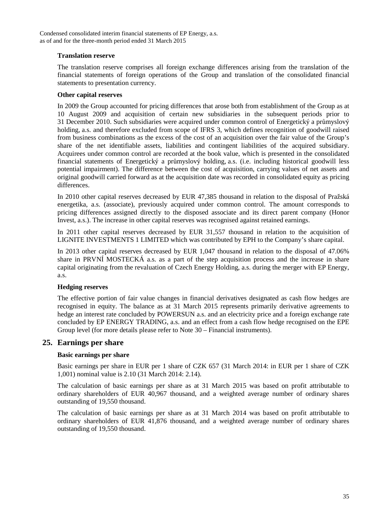#### **Translation reserve**

The translation reserve comprises all foreign exchange differences arising from the translation of the financial statements of foreign operations of the Group and translation of the consolidated financial statements to presentation currency.

#### **Other capital reserves**

In 2009 the Group accounted for pricing differences that arose both from establishment of the Group as at 10 August 2009 and acquisition of certain new subsidiaries in the subsequent periods prior to 31 December 2010. Such subsidiaries were acquired under common control of Energetický a průmyslový holding, a.s. and therefore excluded from scope of IFRS 3, which defines recognition of goodwill raised from business combinations as the excess of the cost of an acquisition over the fair value of the Group's share of the net identifiable assets, liabilities and contingent liabilities of the acquired subsidiary. Acquirees under common control are recorded at the book value, which is presented in the consolidated financial statements of Energetický a průmyslový holding, a.s. (i.e. including historical goodwill less potential impairment). The difference between the cost of acquisition, carrying values of net assets and original goodwill carried forward as at the acquisition date was recorded in consolidated equity as pricing differences.

In 2010 other capital reserves decreased by EUR 47,385 thousand in relation to the disposal of Pražská energetika, a.s. (associate), previously acquired under common control. The amount corresponds to pricing differences assigned directly to the disposed associate and its direct parent company (Honor Invest, a.s.). The increase in other capital reserves was recognised against retained earnings.

In 2011 other capital reserves decreased by EUR 31,557 thousand in relation to the acquisition of LIGNITE INVESTMENTS 1 LIMITED which was contributed by EPH to the Company's share capital.

In 2013 other capital reserves decreased by EUR 1,047 thousand in relation to the disposal of 47.06% share in PRVNÍ MOSTECKÁ a.s. as a part of the step acquisition process and the increase in share capital originating from the revaluation of Czech Energy Holding, a.s. during the merger with EP Energy, a.s.

## **Hedging reserves**

The effective portion of fair value changes in financial derivatives designated as cash flow hedges are recognised in equity. The balance as at 31 March 2015 represents primarily derivative agreements to hedge an interest rate concluded by POWERSUN a.s. and an electricity price and a foreign exchange rate concluded by EP ENERGY TRADING, a.s. and an effect from a cash flow hedge recognised on the EPE Group level (for more details please refer to Note 30 – Financial instruments).

## **25. Earnings per share**

## **Basic earnings per share**

Basic earnings per share in EUR per 1 share of CZK 657 (31 March 2014: in EUR per 1 share of CZK 1,001) nominal value is 2.10 (31 March 2014: 2.14).

The calculation of basic earnings per share as at 31 March 2015 was based on profit attributable to ordinary shareholders of EUR 40,967 thousand, and a weighted average number of ordinary shares outstanding of 19,550 thousand.

The calculation of basic earnings per share as at 31 March 2014 was based on profit attributable to ordinary shareholders of EUR 41,876 thousand, and a weighted average number of ordinary shares outstanding of 19,550 thousand.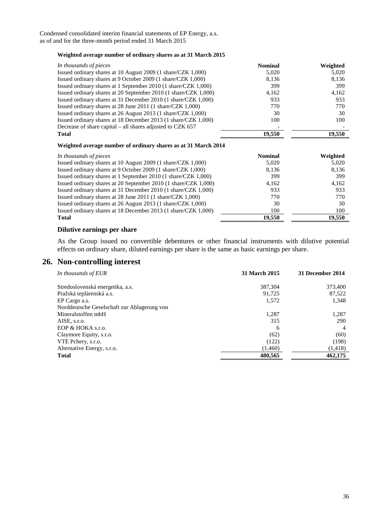#### **Weighted average number of ordinary shares as at 31 March 2015**

| In thousands of pieces                                          | <b>Nominal</b> | Weighted |
|-----------------------------------------------------------------|----------------|----------|
| Issued ordinary shares at 10 August 2009 (1 share/CZK 1,000)    | 5,020          | 5,020    |
| Issued ordinary shares at 9 October 2009 (1 share/CZK 1,000)    | 8,136          | 8,136    |
| Issued ordinary shares at 1 September 2010 (1 share/CZK 1,000)  | 399            | 399      |
| Issued ordinary shares at 20 September 2010 (1 share/CZK 1,000) | 4.162          | 4,162    |
| Issued ordinary shares at 31 December 2010 (1 share/CZK 1,000)  | 933            | 933      |
| Issued ordinary shares at 28 June 2011 (1 share/CZK 1,000)      | 770            | 770      |
| Issued ordinary shares at 26 August 2013 (1 share/CZK 1,000)    | 30             | 30       |
| Issued ordinary shares at 18 December 2013 (1 share/CZK 1,000)  | 100            | 100      |
| Decrease of share capital – all shares adjusted to CZK 657      |                |          |
| <b>Total</b>                                                    | 19.550         | 19.550   |

#### **Weighted average number of ordinary shares as at 31 March 2014**

| In thousands of pieces                                          | <b>Nominal</b> | Weighted |
|-----------------------------------------------------------------|----------------|----------|
| Issued ordinary shares at 10 August 2009 (1 share/CZK 1,000)    | 5,020          | 5,020    |
| Issued ordinary shares at 9 October 2009 (1 share/CZK 1,000)    | 8.136          | 8,136    |
| Issued ordinary shares at 1 September 2010 (1 share/CZK 1,000)  | 399            | 399      |
| Issued ordinary shares at 20 September 2010 (1 share/CZK 1,000) | 4.162          | 4,162    |
| Issued ordinary shares at 31 December 2010 (1 share/CZK 1,000)  | 933            | 933      |
| Issued ordinary shares at 28 June 2011 (1 share/CZK 1,000)      | 770            | 770      |
| Issued ordinary shares at 26 August 2013 (1 share/CZK 1,000)    | 30             | 30       |
| Issued ordinary shares at 18 December 2013 (1 share/CZK 1,000)  | 100            | 100      |
| <b>Total</b>                                                    | 19.550         | 19.550   |

#### **Dilutive earnings per share**

As the Group issued no convertible debentures or other financial instruments with dilutive potential effects on ordinary share, diluted earnings per share is the same as basic earnings per share.

#### **26. Non-controlling interest**

| In thousands of EUR                         | 31 March 2015 | 31 December 2014 |
|---------------------------------------------|---------------|------------------|
| Stredoslovenská energetika, a.s.            | 387.304       | 373,400          |
| Pražská teplárenská a.s.                    | 91.725        | 87,522           |
| EP Cargo a.s.                               | 1,572         | 1,348            |
| Norddeutsche Geselschaft zur Ablagerung von |               |                  |
| Mineralstoffen mbH                          | 1,287         | 1,287            |
| AISE, s.r.o.                                | 315           | 290              |
| EOP & HOKA s.r.o.                           | 6             | $\overline{4}$   |
| Claymore Equity, s.r.o.                     | (62)          | (60)             |
| VTE Pchery, s.r.o.                          | (122)         | (198)            |
| Alternative Energy, s.r.o.                  | (1,460)       | (1,418)          |
| Total                                       | 480,565       | 462,175          |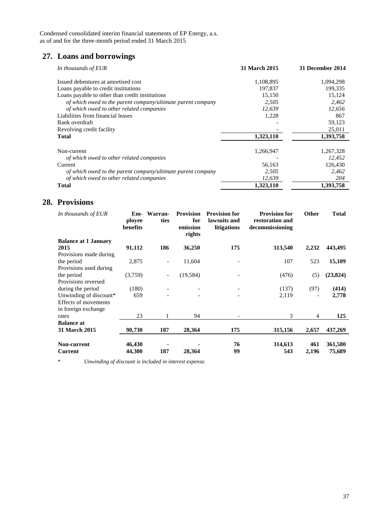## **27. Loans and borrowings**

| In thousands of EUR                                         | <b>31 March 2015</b> | 31 December 2014 |
|-------------------------------------------------------------|----------------------|------------------|
| Issued debentures at amortised cost                         | 1,108,895            | 1,094,298        |
| Loans payable to credit institutions                        | 197,837              | 199,335          |
| Loans payable to other than credit institutions             | 15,150               | 15.124           |
| of which owed to the parent company/ultimate parent company | 2,505                | 2,462            |
| of which owed to other related companies                    | 12,639               | 12,656           |
| Liabilities from financial leases                           | 1,228                | 867              |
| Bank overdraft                                              |                      | 59,123           |
| Revolving credit facility                                   |                      | 25,011           |
| <b>Total</b>                                                | 1,323,110            | 1,393,758        |
| Non-current                                                 | 1,266,947            | 1,267,328        |
| of which owed to other related companies                    |                      | 12,452           |
| Current                                                     | 56,163               | 126,430          |
| of which owed to the parent company/ultimate parent company | 2,505                | 2,462            |
| of which owed to other related companies                    | 12,639               | 204              |
| <b>Total</b>                                                | 1,323,110            | 1,393,758        |

## **28. Provisions**

| In thousands of EUR           | Em-<br>ployee<br>benefits | Warran-<br>ties          | <b>Provision</b><br>for<br>emission<br>rights | <b>Provision for</b><br>lawsuits and<br>litigations | <b>Provision for</b><br>restoration and<br>decommissioning | <b>Other</b> | <b>Total</b>      |
|-------------------------------|---------------------------|--------------------------|-----------------------------------------------|-----------------------------------------------------|------------------------------------------------------------|--------------|-------------------|
| <b>Balance at 1 January</b>   |                           |                          |                                               |                                                     |                                                            |              |                   |
| 2015                          | 91,112                    | 186                      | 36,250                                        | 175                                                 | 313,540                                                    | 2,232        | 443,495           |
| Provisions made during        |                           |                          |                                               |                                                     |                                                            |              |                   |
| the period                    | 2,875                     | $\overline{\phantom{a}}$ | 11,604                                        |                                                     | 107                                                        | 523          | 15,109            |
| Provisions used during        |                           |                          |                                               |                                                     |                                                            |              |                   |
| the period                    | (3,759)                   | $\overline{\phantom{a}}$ | (19, 584)                                     |                                                     | (476)                                                      | (5)          | (23, 824)         |
| Provisions reversed           |                           |                          |                                               |                                                     |                                                            |              |                   |
| during the period             | (180)                     |                          |                                               |                                                     | (137)                                                      | (97)         | (414)             |
| Unwinding of discount*        | 659                       |                          |                                               |                                                     | 2,119                                                      |              | 2,778             |
| Effects of movements          |                           |                          |                                               |                                                     |                                                            |              |                   |
| in foreign exchange           |                           |                          |                                               |                                                     |                                                            |              |                   |
| rates                         | 23                        |                          | 94                                            |                                                     | 3                                                          | 4            | 125               |
| <b>Balance at</b>             |                           |                          |                                               |                                                     |                                                            |              |                   |
| <b>31 March 2015</b>          | 90,730                    | 187                      | 28,364                                        | 175                                                 | 315,156                                                    | 2,657        | 437,269           |
| Non-current<br><b>Current</b> | 46,430<br>44,300          | 187                      | 28,364                                        | 76<br>99                                            | 314,613<br>543                                             | 461<br>2,196 | 361,580<br>75,689 |

*\* Unwinding of discount is included in interest expense.*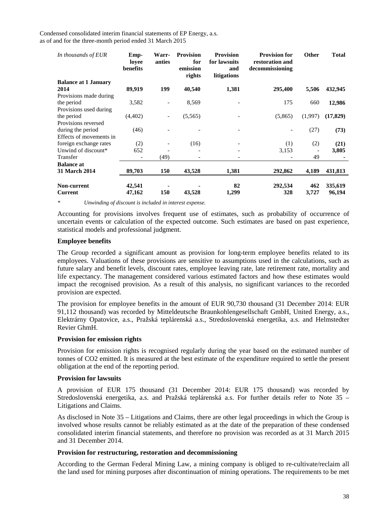| In thousands of EUR           | Emp-<br>loyee<br>benefits | Warr-<br>anties          | <b>Provision</b><br>for<br>emission<br>rights | <b>Provision</b><br>for lawsuits<br>and<br>litigations | <b>Provision for</b><br>restoration and<br>decommissioning | <b>Other</b> | <b>Total</b>      |
|-------------------------------|---------------------------|--------------------------|-----------------------------------------------|--------------------------------------------------------|------------------------------------------------------------|--------------|-------------------|
| <b>Balance at 1 January</b>   |                           |                          |                                               |                                                        |                                                            |              |                   |
| 2014                          | 89,919                    | 199                      | 40,540                                        | 1,381                                                  | 295,400                                                    | 5,506        | 432,945           |
| Provisions made during        |                           |                          |                                               |                                                        |                                                            |              |                   |
| the period                    | 3,582                     |                          | 8,569                                         |                                                        | 175                                                        | 660          | 12,986            |
| Provisions used during        |                           |                          |                                               |                                                        |                                                            |              |                   |
| the period                    | (4,402)                   | $\overline{\phantom{a}}$ | (5,565)                                       |                                                        | (5,865)                                                    | (1,997)      | (17, 829)         |
| Provisions reversed           |                           |                          |                                               |                                                        |                                                            |              |                   |
| during the period             | (46)                      |                          |                                               |                                                        | ۰                                                          | (27)         | (73)              |
| Effects of movements in       |                           |                          |                                               |                                                        |                                                            |              |                   |
| foreign exchange rates        | (2)                       |                          | (16)                                          | $\qquad \qquad \blacksquare$                           | (1)                                                        | (2)          | (21)              |
| Unwind of discount*           | 652                       |                          |                                               |                                                        | 3,153                                                      |              | 3,805             |
| Transfer                      |                           | (49)                     | ٠                                             |                                                        |                                                            | 49           |                   |
| <b>Balance at</b>             |                           |                          |                                               |                                                        |                                                            |              |                   |
| <b>31 March 2014</b>          | 89,703                    | 150                      | 43,528                                        | 1,381                                                  | 292,862                                                    | 4,189        | 431,813           |
| Non-current<br><b>Current</b> | 42,541<br>47,162          | 150                      | 43,528                                        | 82<br>1,299                                            | 292,534<br>328                                             | 462<br>3,727 | 335,619<br>96,194 |

*\* Unwinding of discount is included in interest expense.* 

Accounting for provisions involves frequent use of estimates, such as probability of occurrence of uncertain events or calculation of the expected outcome. Such estimates are based on past experience, statistical models and professional judgment.

#### **Employee benefits**

The Group recorded a significant amount as provision for long-term employee benefits related to its employees. Valuations of these provisions are sensitive to assumptions used in the calculations, such as future salary and benefit levels, discount rates, employee leaving rate, late retirement rate, mortality and life expectancy. The management considered various estimated factors and how these estimates would impact the recognised provision. As a result of this analysis, no significant variances to the recorded provision are expected.

The provision for employee benefits in the amount of EUR 90,730 thousand (31 December 2014: EUR 91,112 thousand) was recorded by Mitteldeutsche Braunkohlengesellschaft GmbH, United Energy, a.s., Elektrárny Opatovice, a.s., Pražská teplárenská a.s., Stredoslovenská energetika, a.s. and Helmstedter Revier GhmH.

#### **Provision for emission rights**

Provision for emission rights is recognised regularly during the year based on the estimated number of tonnes of CO2 emitted. It is measured at the best estimate of the expenditure required to settle the present obligation at the end of the reporting period.

#### **Provision for lawsuits**

A provision of EUR 175 thousand (31 December 2014: EUR 175 thousand) was recorded by Stredoslovenská energetika, a.s. and Pražská teplárenská a.s. For further details refer to Note 35 – Litigations and Claims.

As disclosed in Note 35 – Litigations and Claims, there are other legal proceedings in which the Group is involved whose results cannot be reliably estimated as at the date of the preparation of these condensed consolidated interim financial statements, and therefore no provision was recorded as at 31 March 2015 and 31 December 2014.

#### **Provision for restructuring, restoration and decommissioning**

According to the German Federal Mining Law, a mining company is obliged to re-cultivate/reclaim all the land used for mining purposes after discontinuation of mining operations. The requirements to be met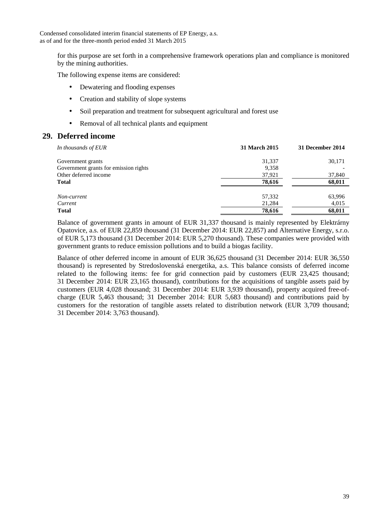for this purpose are set forth in a comprehensive framework operations plan and compliance is monitored by the mining authorities.

The following expense items are considered:

- Dewatering and flooding expenses
- Creation and stability of slope systems
- Soil preparation and treatment for subsequent agricultural and forest use
- Removal of all technical plants and equipment

## **29. Deferred income**

| In thousands of EUR                   | 31 March 2015 | 31 December 2014 |
|---------------------------------------|---------------|------------------|
| Government grants                     | 31,337        | 30,171           |
| Government grants for emission rights | 9,358         |                  |
| Other deferred income                 | 37,921        | 37,840           |
| <b>Total</b>                          | 78,616        | 68,011           |
| Non-current                           | 57,332        | 63,996           |
| Current                               | 21,284        | 4,015            |
| <b>Total</b>                          | 78,616        | 68,011           |

Balance of government grants in amount of EUR 31,337 thousand is mainly represented by Elektrárny Opatovice, a.s. of EUR 22,859 thousand (31 December 2014: EUR 22,857) and Alternative Energy, s.r.o. of EUR 5,173 thousand (31 December 2014: EUR 5,270 thousand). These companies were provided with government grants to reduce emission pollutions and to build a biogas facility.

Balance of other deferred income in amount of EUR 36,625 thousand (31 December 2014: EUR 36,550 thousand) is represented by Stredoslovenská energetika, a.s. This balance consists of deferred income related to the following items: fee for grid connection paid by customers (EUR 23,425 thousand; 31 December 2014: EUR 23,165 thousand), contributions for the acquisitions of tangible assets paid by customers (EUR 4,028 thousand; 31 December 2014: EUR 3,939 thousand), property acquired free-ofcharge (EUR 5,463 thousand; 31 December 2014: EUR 5,683 thousand) and contributions paid by customers for the restoration of tangible assets related to distribution network (EUR 3,709 thousand; 31 December 2014: 3,763 thousand).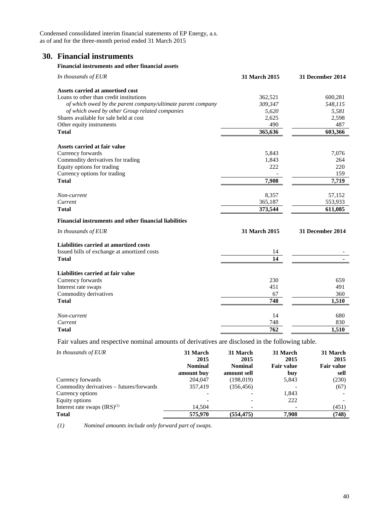## **30. Financial instruments**

#### **Financial instruments and other financial assets**

| In thousands of EUR                                         | <b>31 March 2015</b> | <b>31 December 2014</b> |
|-------------------------------------------------------------|----------------------|-------------------------|
| Assets carried at amortised cost                            |                      |                         |
| Loans to other than credit institutions                     | 362,521              | 600,281                 |
| of which owed by the parent company/ultimate parent company | 309,347              | 548,115                 |
| of which owed by other Group related companies              | 5,620                | 5,581                   |
| Shares available for sale held at cost                      | 2,625                | 2,598                   |
| Other equity instruments                                    | 490                  | 487                     |
| <b>Total</b>                                                | 365,636              | 603,366                 |
| Assets carried at fair value                                |                      |                         |
| Currency forwards                                           | 5,843                | 7,076                   |
| Commodity derivatives for trading                           | 1,843                | 264                     |
| Equity options for trading                                  | 222                  | 220                     |
| Currency options for trading                                |                      | 159                     |
| <b>Total</b>                                                | 7,908                | 7,719                   |
| Non-current                                                 | 8,357                | 57,152                  |
| Current                                                     | 365,187              | 553,933                 |
| <b>Total</b>                                                | 373,544              | 611,085                 |
| Financial instruments and other financial liabilities       |                      |                         |
| In thousands of EUR                                         | 31 March 2015        | <b>31 December 2014</b> |
| Liabilities carried at amortized costs                      |                      |                         |
| Issued bills of exchange at amortized costs                 | 14                   |                         |
| <b>Total</b>                                                | 14                   |                         |
| Liabilities carried at fair value                           |                      |                         |
| Currency forwards                                           | 230                  | 659                     |
| Interest rate swaps                                         | 451                  | 491                     |
| Commodity derivatives                                       | 67                   | 360                     |
| <b>Total</b>                                                | 748                  | 1,510                   |
| Non-current                                                 | 14                   | 680                     |
| Current                                                     | 748                  | 830                     |
| <b>Total</b>                                                | 762                  | 1,510                   |

Fair values and respective nominal amounts of derivatives are disclosed in the following table.

| In thousands of EUR                      | 31 March<br>2015 | 31 March<br>2015 | 31 March<br>2015  | 31 March<br>2015  |
|------------------------------------------|------------------|------------------|-------------------|-------------------|
|                                          | <b>Nominal</b>   | <b>Nominal</b>   | <b>Fair value</b> | <b>Fair value</b> |
|                                          | amount buy       | amount sell      | buy               | sell              |
| Currency forwards                        | 204,047          | (198,019)        | 5,843             | (230)             |
| Commodity derivatives - futures/forwards | 357,419          | (356, 456)       |                   | (67)              |
| Currency options                         |                  |                  | 1,843             |                   |
| Equity options                           |                  |                  | 222               |                   |
| Interest rate swaps $(IRS)^{(1)}$        | 14.504           |                  |                   | (451)             |
| <b>Total</b>                             | 575,970          | (554, 475)       | 7.908             | (748)             |

*(1) Nominal amounts include only forward part of swaps.*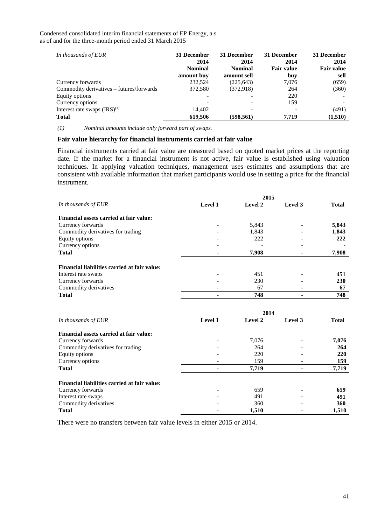| In thousands of EUR                      | 31 December<br>2014<br><b>Nominal</b><br>amount buy | 31 December<br>2014<br><b>Nominal</b><br>amount sell | 31 December<br>2014<br><b>Fair value</b><br>buy | 31 December<br>2014<br><b>Fair value</b><br>sell |
|------------------------------------------|-----------------------------------------------------|------------------------------------------------------|-------------------------------------------------|--------------------------------------------------|
| Currency forwards                        | 232,524                                             | (225, 643)                                           | 7,076                                           | (659)                                            |
| Commodity derivatives – futures/forwards | 372,580                                             | (372,918)                                            | 264                                             | (360)                                            |
| Equity options                           |                                                     |                                                      | 220                                             |                                                  |
| Currency options                         |                                                     |                                                      | 159                                             |                                                  |
| Interest rate swaps $(IRS)^{(1)}$        | 14.402                                              |                                                      |                                                 | (491)                                            |
| <b>Total</b>                             | 619,506                                             | (598, 561)                                           | 7,719                                           | (1,510)                                          |

*(1) Nominal amounts include only forward part of swaps.* 

#### **Fair value hierarchy for financial instruments carried at fair value**

Financial instruments carried at fair value are measured based on quoted market prices at the reporting date. If the market for a financial instrument is not active, fair value is established using valuation techniques. In applying valuation techniques, management uses estimates and assumptions that are consistent with available information that market participants would use in setting a price for the financial instrument.

|                                              |                | 2015           |         |              |
|----------------------------------------------|----------------|----------------|---------|--------------|
| In thousands of EUR                          | <b>Level 1</b> | <b>Level 2</b> | Level 3 | <b>Total</b> |
| Financial assets carried at fair value:      |                |                |         |              |
| Currency forwards                            |                | 5,843          |         | 5,843        |
| Commodity derivatives for trading            |                | 1,843          |         | 1,843        |
| Equity options                               |                | 222            |         | 222          |
| Currency options                             |                |                |         |              |
| <b>Total</b>                                 |                | 7,908          |         | 7,908        |
| Financial liabilities carried at fair value: |                |                |         |              |
| Interest rate swaps                          |                | 451            |         | 451          |
| Currency forwards                            |                | 230            |         | 230          |
| Commodity derivatives                        |                | 67             |         | 67           |
| <b>Total</b>                                 |                | 748            |         | 748          |

|                                              |         | 2014    |         |            |
|----------------------------------------------|---------|---------|---------|------------|
| In thousands of EUR                          | Level 1 | Level 2 | Level 3 | Total      |
| Financial assets carried at fair value:      |         |         |         |            |
| Currency forwards                            |         | 7.076   |         | 7,076      |
| Commodity derivatives for trading            |         | 264     |         | 264        |
| Equity options                               |         | 220     |         | <b>220</b> |
| Currency options                             |         | 159     |         | 159        |
| <b>Total</b>                                 |         | 7,719   |         | 7,719      |
| Financial liabilities carried at fair value: |         |         |         |            |
| Currency forwards                            |         | 659     |         | 659        |
| Interest rate swaps                          |         | 491     |         | 491        |
| Commodity derivatives                        |         | 360     |         | 360        |
| <b>Total</b>                                 |         | 1,510   |         | 1.510      |

There were no transfers between fair value levels in either 2015 or 2014.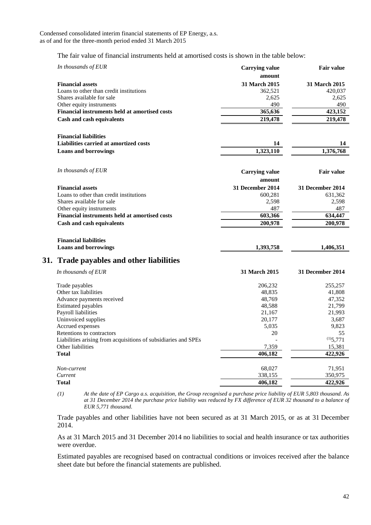The fair value of financial instruments held at amortised costs is shown in the table below:

| In thousands of EUR                                            | <b>Carrying value</b> | <b>Fair value</b>       |
|----------------------------------------------------------------|-----------------------|-------------------------|
|                                                                | amount                |                         |
| <b>Financial assets</b>                                        | 31 March 2015         | 31 March 2015           |
| Loans to other than credit institutions                        | 362,521               | 420,037                 |
| Shares available for sale                                      | 2,625                 | 2,625                   |
| Other equity instruments                                       | 490                   | 490                     |
| <b>Financial instruments held at amortised costs</b>           | 365,636               | 423.152                 |
| <b>Cash and cash equivalents</b>                               | 219,478               | 219,478                 |
| <b>Financial liabilities</b>                                   |                       |                         |
| Liabilities carried at amortized costs                         | 14                    | 14                      |
| <b>Loans and borrowings</b>                                    | 1,323,110             | 1,376,768               |
|                                                                |                       |                         |
| In thousands of EUR                                            | <b>Carrying value</b> | <b>Fair value</b>       |
|                                                                | amount                |                         |
| <b>Financial assets</b>                                        | 31 December 2014      | 31 December 2014        |
| Loans to other than credit institutions                        | 600,281               | 631,362                 |
| Shares available for sale                                      | 2,598                 | 2,598                   |
| Other equity instruments                                       | 487                   | 487                     |
| Financial instruments held at amortised costs                  | 603,366               | 634,447                 |
| <b>Cash and cash equivalents</b>                               | 200,978               | 200,978                 |
|                                                                |                       |                         |
| <b>Financial liabilities</b>                                   |                       |                         |
| <b>Loans and borrowings</b>                                    | 1,393,758             | 1,406,351               |
| 31. Trade payables and other liabilities                       |                       |                         |
| In thousands of EUR                                            | 31 March 2015         | <b>31 December 2014</b> |
| Trade payables                                                 | 206,232               | 255,257                 |
| Other tax liabilities                                          | 48,835                | 41,808                  |
| Advance payments received                                      | 48,769                | 47,352                  |
| <b>Estimated payables</b>                                      | 48,588                | 21,799                  |
| Payroll liabilities                                            | 21,167                | 21,993                  |
| Uninvoiced supplies                                            | 20,177                | 3,687                   |
| Accrued expenses                                               | 5,035                 | 9,823                   |
| Retentions to contractors                                      | 20                    | 55                      |
| Liabilities arising from acquisitions of subsidiaries and SPEs | $\overline{a}$        | $^{(1)}$ 5,771          |
| Other liabilities                                              | 7,359                 | 15,381                  |
| <b>Total</b>                                                   | 406,182               | 422,926                 |
| Non-current                                                    | 68,027                | 71,951                  |
| Current                                                        | 338,155               | 350,975                 |
| <b>Total</b>                                                   | 406,182               | 422,926                 |

*<sup>(1)</sup> At the date of EP Cargo a.s. acquisition, the Group recognised a purchase price liability of EUR 5,803 thousand. As at 31 December 2014 the purchase price liability was reduced by FX difference of EUR 32 thousand to a balance of EUR 5,771 thousand.* 

Trade payables and other liabilities have not been secured as at 31 March 2015, or as at 31 December 2014.

As at 31 March 2015 and 31 December 2014 no liabilities to social and health insurance or tax authorities were overdue.

Estimated payables are recognised based on contractual conditions or invoices received after the balance sheet date but before the financial statements are published.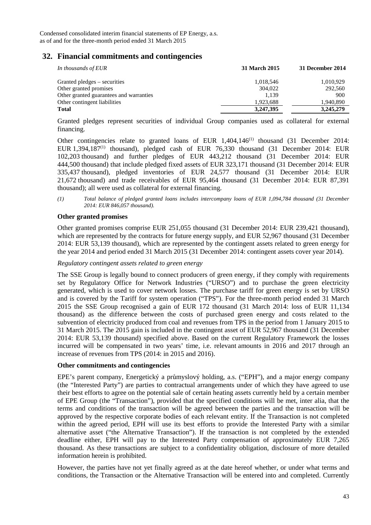## **32. Financial commitments and contingencies**

| In thousands of EUR                     | 31 March 2015 | 31 December 2014 |
|-----------------------------------------|---------------|------------------|
| Granted pledges – securities            | 1,018,546     | 1,010,929        |
| Other granted promises                  | 304.022       | 292,560          |
| Other granted guarantees and warranties | 1.139         | 900              |
| Other contingent liabilities            | 1,923,688     | 1.940.890        |
| <b>Total</b>                            | 3,247,395     | 3,245,279        |

Granted pledges represent securities of individual Group companies used as collateral for external financing.

Other contingencies relate to granted loans of EUR  $1,404,146$ <sup>(1)</sup> thousand (31 December 2014: EUR 1,394,187<sup>(1)</sup> thousand), pledged cash of EUR 76,330 thousand (31 December 2014: EUR 102,203 thousand) and further pledges of EUR 443,212 thousand (31 December 2014: EUR 444,500 thousand) that include pledged fixed assets of EUR 323,171 thousand (31 December 2014: EUR 335,437 thousand), pledged inventories of EUR 24,577 thousand (31 December 2014: EUR 21,672 thousand) and trade receivables of EUR 95,464 thousand (31 December 2014: EUR 87,391 thousand); all were used as collateral for external financing.

*(1) Total balance of pledged granted loans includes intercompany loans of EUR 1,094,784 thousand (31 December 2014: EUR 846,057 thousand).* 

#### **Other granted promises**

Other granted promises comprise EUR 251,055 thousand (31 December 2014: EUR 239,421 thousand), which are represented by the contracts for future energy supply, and EUR 52,967 thousand (31 December 2014: EUR 53,139 thousand), which are represented by the contingent assets related to green energy for the year 2014 and period ended 31 March 2015 (31 December 2014: contingent assets cover year 2014).

#### *Regulatory contingent assets related to green energy*

The SSE Group is legally bound to connect producers of green energy, if they comply with requirements set by Regulatory Office for Network Industries ("URSO") and to purchase the green electricity generated, which is used to cover network losses. The purchase tariff for green energy is set by URSO and is covered by the Tariff for system operation ("TPS"). For the three-month period ended 31 March 2015 the SSE Group recognised a gain of EUR 172 thousand (31 March 2014: loss of EUR 11,134 thousand) as the difference between the costs of purchased green energy and costs related to the subvention of electricity produced from coal and revenues from TPS in the period from 1 January 2015 to 31 March 2015. The 2015 gain is included in the contingent asset of EUR 52,967 thousand (31 December 2014: EUR 53,139 thousand) specified above. Based on the current Regulatory Framework the losses incurred will be compensated in two years' time, i.e. relevant amounts in 2016 and 2017 through an increase of revenues from TPS (2014: in 2015 and 2016).

#### **Other commitments and contingencies**

EPE's parent company, Energetický a průmyslový holding, a.s. ("EPH"), and a major energy company (the "Interested Party") are parties to contractual arrangements under of which they have agreed to use their best efforts to agree on the potential sale of certain heating assets currently held by a certain member of EPE Group (the "Transaction"), provided that the specified conditions will be met, inter alia, that the terms and conditions of the transaction will be agreed between the parties and the transaction will be approved by the respective corporate bodies of each relevant entity. If the Transaction is not completed within the agreed period, EPH will use its best efforts to provide the Interested Party with a similar alternative asset ("the Alternative Transaction"). If the transaction is not completed by the extended deadline either, EPH will pay to the Interested Party compensation of approximately EUR 7,265 thousand. As these transactions are subject to a confidentiality obligation, disclosure of more detailed information herein is prohibited.

However, the parties have not yet finally agreed as at the date hereof whether, or under what terms and conditions, the Transaction or the Alternative Transaction will be entered into and completed. Currently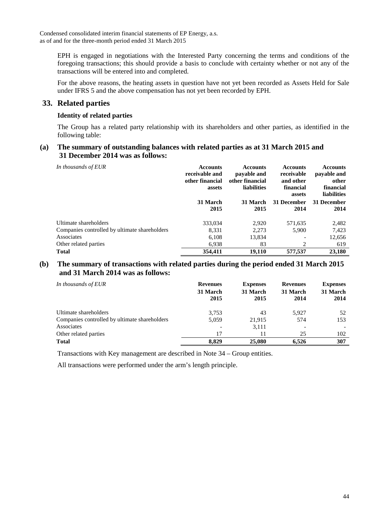EPH is engaged in negotiations with the Interested Party concerning the terms and conditions of the foregoing transactions; this should provide a basis to conclude with certainty whether or not any of the transactions will be entered into and completed.

For the above reasons, the heating assets in question have not yet been recorded as Assets Held for Sale under IFRS 5 and the above compensation has not yet been recorded by EPH.

## **33. Related parties**

#### **Identity of related parties**

The Group has a related party relationship with its shareholders and other parties, as identified in the following table:

#### **(a) The summary of outstanding balances with related parties as at 31 March 2015 and 31 December 2014 was as follows:**

| In thousands of EUR                           | <b>Accounts</b><br>receivable and<br>other financial<br>assets | <b>Accounts</b><br>payable and<br>other financial<br>liabilities | <b>Accounts</b><br>receivable<br>and other<br>financial<br>assets | <b>Accounts</b><br>payable and<br>other<br>financial<br><b>liabilities</b> |
|-----------------------------------------------|----------------------------------------------------------------|------------------------------------------------------------------|-------------------------------------------------------------------|----------------------------------------------------------------------------|
|                                               | 31 March<br>2015                                               | 31 March<br>2015                                                 | <b>31 December</b><br>2014                                        | 31 December<br>2014                                                        |
| Ultimate shareholders                         | 333,034                                                        | 2,920                                                            | 571,635                                                           | 2,482                                                                      |
| Companies controlled by ultimate shareholders | 8,331                                                          | 2,273                                                            | 5,900                                                             | 7,423                                                                      |
| Associates                                    | 6,108                                                          | 13,834                                                           |                                                                   | 12,656                                                                     |
| Other related parties                         | 6,938                                                          | 83                                                               | $\overline{c}$                                                    | 619                                                                        |
| <b>Total</b>                                  | 354,411                                                        | 19,110                                                           | 577,537                                                           | 23,180                                                                     |

## **(b) The summary of transactions with related parties during the period ended 31 March 2015 and 31 March 2014 was as follows:**

| In thousands of EUR                           | <b>Revenues</b><br>31 March<br>2015 | <b>Expenses</b><br>31 March<br>2015 | <b>Revenues</b><br>31 March<br>2014 | <b>Expenses</b><br>31 March<br>2014 |
|-----------------------------------------------|-------------------------------------|-------------------------------------|-------------------------------------|-------------------------------------|
| Ultimate shareholders                         | 3.753                               | 43                                  | 5.927                               | 52                                  |
| Companies controlled by ultimate shareholders | 5.059                               | 21.915                              | 574                                 | 153                                 |
| Associates                                    | $\overline{\phantom{0}}$            | 3,111                               |                                     |                                     |
| Other related parties                         | 17                                  |                                     | 25                                  | 102                                 |
| <b>Total</b>                                  | 8.829                               | 25,080                              | 6.526                               | 307                                 |

Transactions with Key management are described in Note 34 – Group entities.

All transactions were performed under the arm's length principle.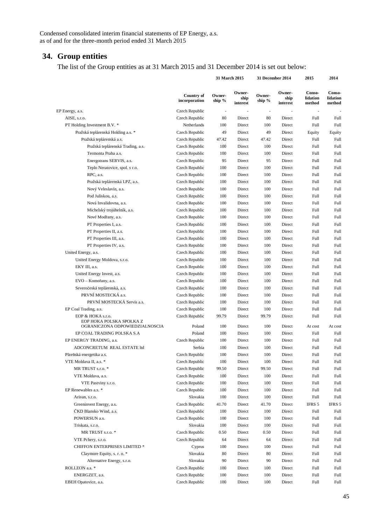## **34. Group entities**

The list of the Group entities as at 31 March 2015 and 31 December 2014 is set out below:

 **31 March 2015 31 December 2014 2015 2014** 

|                                                                                 | <b>Country of</b><br>incorporation | Owner-<br>ship %         | Owner-<br>ship<br>interest | Owner-<br>ship %         | Owner-<br>ship<br>interest | Conso-<br>lidation<br>method | Conso-<br>lidation<br>method |
|---------------------------------------------------------------------------------|------------------------------------|--------------------------|----------------------------|--------------------------|----------------------------|------------------------------|------------------------------|
| EP Energy, a.s.                                                                 | Czech Republic                     | $\overline{\phantom{a}}$ |                            | $\overline{\phantom{a}}$ |                            | $\overline{\phantom{a}}$     |                              |
| AISE, s.r.o.                                                                    | Czech Republic                     | 80                       | Direct                     | 80                       | Direct                     | Full                         | Full                         |
| PT Holding Investment B.V. *                                                    | Netherlands                        | 100                      | Direct                     | 100                      | Direct                     | Full                         | <b>Full</b>                  |
| Pražská teplárenská Holding a.s. *                                              | Czech Republic                     | 49                       | Direct                     | 49                       | Direct                     | Equity                       | Equity                       |
| Pražská teplárenská a.s.                                                        | Czech Republic                     | 47.42                    | Direct                     | 47.42                    | Direct                     | Full                         | Full                         |
| Pražská teplárenská Trading, a.s.                                               | Czech Republic                     | 100                      | Direct                     | 100                      | Direct                     | Full                         | <b>Full</b>                  |
| Termonta Praha a.s.                                                             | Czech Republic                     | 100                      | Direct                     | 100                      | Direct                     | Full                         | Full                         |
| Energotrans SERVIS, a.s.                                                        | Czech Republic                     | 95                       | Direct                     | 95                       | Direct                     | Full                         | <b>Full</b>                  |
| Teplo Neratovice, spol. s r.o.                                                  | Czech Republic                     | 100                      | Direct                     | 100                      | Direct                     | Full                         | Full                         |
| RPC, a.s.                                                                       | Czech Republic                     | 100                      | Direct                     | 100                      | Direct                     | Full                         | <b>Full</b>                  |
| Pražská teplárenská LPZ, a.s.                                                   | Czech Republic                     | 100                      | Direct                     | 100                      | Direct                     | Full                         | <b>Full</b>                  |
| Nový Veleslavín, a.s.                                                           | Czech Republic                     | 100                      | Direct                     | 100                      | Direct                     | Full                         | Full                         |
| Pod Juliskou, a.s.                                                              | Czech Republic                     | 100                      | Direct                     | 100                      | Direct                     | Full                         | <b>Full</b>                  |
| Nová Invalidovna, a.s.                                                          | Czech Republic                     | 100                      | Direct                     | 100                      | Direct                     | Full                         | <b>Full</b>                  |
| Michelský trojúhelník, a.s.                                                     | Czech Republic                     | 100                      | Direct                     | 100                      | Direct                     | Full                         | <b>Full</b>                  |
| Nové Modřany, a.s.                                                              | Czech Republic                     | 100                      | Direct                     | 100                      | Direct                     | Full                         | Full                         |
| PT Properties I, a.s.                                                           | Czech Republic                     | 100                      | Direct                     | 100                      | Direct                     | Full                         | <b>Full</b>                  |
| PT Properties II, a.s.                                                          | Czech Republic                     | 100                      | Direct                     | 100                      | Direct                     | Full                         | Full                         |
| PT Properties III, a.s.                                                         | Czech Republic                     | 100                      | Direct                     | 100                      | Direct                     | Full                         | Full                         |
| PT Properties IV, a.s.                                                          | Czech Republic                     | 100                      | Direct                     | 100                      | Direct                     | Full                         | <b>Full</b>                  |
| United Energy, a.s.                                                             | Czech Republic                     | 100                      | Direct                     | 100                      | Direct                     | Full                         | <b>Full</b>                  |
| United Energy Moldova, s.r.o.                                                   | Czech Republic                     | 100                      | Direct                     | 100                      | Direct                     | Full                         | <b>Full</b>                  |
| EKY III, a.s.                                                                   | Czech Republic                     | 100                      | Direct                     | 100                      | Direct                     | Full                         | <b>Full</b>                  |
| United Energy Invest, a.s.                                                      | Czech Republic                     | 100                      | Direct                     | 100                      | Direct                     | Full                         | Full                         |
| EVO - Komořany, a.s.                                                            | Czech Republic                     | 100                      | Direct                     | 100                      | Direct                     | Full                         | <b>Full</b>                  |
| Severočeská teplárenská, a.s.                                                   | Czech Republic                     | 100                      | Direct                     | 100                      | Direct                     | Full                         | <b>Full</b>                  |
| PRVNÍ MOSTECKÁ a.s.                                                             | Czech Republic                     | 100                      | Direct                     | 100                      | Direct                     | Full                         | <b>Full</b>                  |
| PRVNÍ MOSTECKÁ Servis a.s.                                                      | Czech Republic                     | 100                      | Direct                     | 100                      | Direct                     | Full                         | Full                         |
| EP Coal Trading, a.s.                                                           | Czech Republic                     | 100                      | Direct                     | 100                      | Direct                     | Full                         | <b>Full</b>                  |
| EOP & HOKA s.r.o.<br>EOP HOKA POLSKA SPOŁKA Z<br>OGRANICZONA ODPOWIEDZIALNOSCIA | Czech Republic<br>Poland           | 99.79<br>100             | Direct<br>Direct           | 99.79<br>100             | Direct<br>Direct           | Full<br>At cost              | Full<br>At cost              |
|                                                                                 | Poland                             | 100                      | Direct                     | 100                      | Direct                     |                              | <b>Full</b>                  |
| EP COAL TRADING POLSKA S.A<br>EP ENERGY TRADING, a.s.                           | Czech Republic                     | 100                      | Direct                     | 100                      | Direct                     | Full<br>Full                 | <b>Full</b>                  |
| ADCONCRETUM REAL ESTATE ltd                                                     | Serbia                             | 100                      | Direct                     | 100                      | Direct                     | Full                         | Full                         |
|                                                                                 | Czech Republic                     | 100                      | Direct                     | 100                      | Direct                     | Full                         | Full                         |
| Plzeňská energetika a.s.<br>VTE Moldava II, a.s. *                              | Czech Republic                     | 100                      | $\rm Direct$               | 100                      | Direct                     | Full                         | $\operatorname{Full}$        |
| MR TRUST s.r.o. *                                                               | Czech Republic                     | 99.50                    | Direct                     | 99.50                    | Direct                     | Full                         | Full                         |
| VTE Moldava, a.s.                                                               | Czech Republic                     | 100                      | Direct                     | 100                      | Direct                     | Full                         | Full                         |
| VTE Pastviny s.r.o.                                                             | Czech Republic                     | 100                      | Direct                     | 100                      | Direct                     | Full                         | Full                         |
| EP Renewables a.s. *                                                            | Czech Republic                     | 100                      | Direct                     | 100                      | Direct                     | Full                         | Full                         |
| Arisun, s.r.o.                                                                  | Slovakia                           | 100                      | Direct                     | 100                      | Direct                     | Full                         | Full                         |
| Greeninvest Energy, a.s.                                                        | Czech Republic                     | 41.70                    | Direct                     | 41.70                    | Direct                     | IFRS 5                       | IFRS 5                       |
| ČKD Blansko Wind, a.s.                                                          | Czech Republic                     | 100                      | Direct                     | 100                      | Direct                     | Full                         | Full                         |
| POWERSUN a.s.                                                                   | Czech Republic                     | 100                      | Direct                     | 100                      | Direct                     | Full                         | Full                         |
| Triskata, s.r.o.                                                                | Slovakia                           | 100                      | Direct                     | 100                      | Direct                     | Full                         | Full                         |
| MR TRUST s.r.o. *                                                               | Czech Republic                     | 0.50                     | Direct                     | 0.50                     | Direct                     | Full                         | Full                         |
| VTE Pchery, s.r.o.                                                              | Czech Republic                     | 64                       | Direct                     | 64                       | Direct                     | Full                         | Full                         |
| CHIFFON ENTERPRISES LIMITED *                                                   |                                    | 100                      |                            | 100                      | Direct                     |                              | Full                         |
| Claymore Equity, s. r. o. *                                                     | Cyprus<br>Slovakia                 | 80                       | Direct                     | 80                       | Direct                     | Full<br>Full                 | Full                         |
|                                                                                 |                                    |                          | Direct                     | 90                       |                            |                              |                              |
| Alternative Energy, s.r.o.                                                      | Slovakia                           | 90                       | Direct                     |                          | Direct                     | Full                         | Full                         |
| ROLLEON a.s. *                                                                  | Czech Republic                     | 100                      | Direct                     | 100                      | Direct                     | Full                         | Full                         |
| ENERGZET, a.s.                                                                  | Czech Republic                     | 100<br>100               | Direct                     | 100<br>100               | Direct                     | Full                         | Full                         |
| EBEH Opatovice, a.s.                                                            | Czech Republic                     |                          | Direct                     |                          | Direct                     | Full                         | <b>Full</b>                  |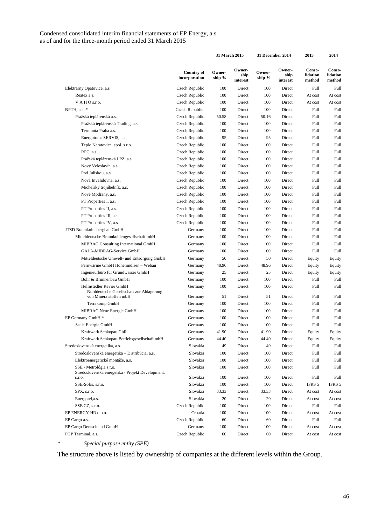|                                                                                               |                                    | 31 March 2015      |                            | 31 December 2014 |                            | 2015                         | 2014                         |
|-----------------------------------------------------------------------------------------------|------------------------------------|--------------------|----------------------------|------------------|----------------------------|------------------------------|------------------------------|
|                                                                                               | <b>Country of</b><br>incorporation | Owner-<br>ship $%$ | Owner-<br>ship<br>interest | Owner-<br>ship % | Owner-<br>ship<br>interest | Conso-<br>lidation<br>method | Conso-<br>lidation<br>method |
| Elektrárny Opatovice, a.s.                                                                    | Czech Republic                     | 100                | Direct                     | 100              | Direct                     | Full                         | Full                         |
| Reatex a.s.                                                                                   | Czech Republic                     | 100                | Direct                     | 100              | Direct                     | At cost                      | At cost                      |
| VAHO <sub>s.r.o.</sub>                                                                        | Czech Republic                     | 100                | Direct                     | 100              | Direct                     | At cost                      | At cost                      |
| NPTH, a.s. *                                                                                  | Czech Republic                     | 100                | Direct                     | 100              | Direct                     | Full                         | <b>Full</b>                  |
| Pražská teplárenská a.s.                                                                      | Czech Republic                     | 50.58              | Direct                     | 50.16            | Direct                     | Full                         | <b>Full</b>                  |
| Pražská teplárenská Trading, a.s.                                                             | Czech Republic                     | 100                | Direct                     | 100              | Direct                     | Full                         | <b>Full</b>                  |
| Termonta Praha a.s.                                                                           | Czech Republic                     | 100                | Direct                     | 100              | Direct                     | Full                         | <b>Full</b>                  |
| Energotrans SERVIS, a.s.                                                                      | Czech Republic                     | 95                 | Direct                     | 95               | Direct                     | Full                         | Full                         |
| Teplo Neratovice, spol. s r.o.                                                                | Czech Republic                     | 100                | Direct                     | 100              | Direct                     | Full                         | <b>Full</b>                  |
| RPC, a.s.                                                                                     | Czech Republic                     | 100                | Direct                     | 100              | Direct                     | Full                         | Full                         |
| Pražská teplárenská LPZ, a.s.                                                                 | Czech Republic                     | 100                | Direct                     | 100              | Direct                     | Full                         | Full                         |
| Nový Veleslavín, a.s.                                                                         | Czech Republic                     | 100                | Direct                     | 100              | Direct                     | Full                         | <b>Full</b>                  |
| Pod Juliskou, a.s.                                                                            | Czech Republic                     | 100                | Direct                     | 100              | Direct                     | Full                         | Full                         |
| Nová Invalidovna, a.s.                                                                        | Czech Republic                     | 100                | Direct                     | 100              | Direct                     | Full                         | <b>Full</b>                  |
| Michelský trojúhelník, a.s.                                                                   | Czech Republic                     | 100                | Direct                     | 100              | Direct                     | Full                         | <b>Full</b>                  |
| Nové Modřany, a.s.                                                                            | Czech Republic                     | 100                | Direct                     | 100              | Direct                     | Full                         | Full                         |
| PT Properties I, a.s.                                                                         | Czech Republic                     | 100                | Direct                     | 100              | Direct                     | Full                         | Full                         |
| PT Properties II, a.s.                                                                        | Czech Republic                     | 100                | Direct                     | 100              | Direct                     | Full                         | <b>Full</b>                  |
| PT Properties III, a.s.                                                                       |                                    | 100                | Direct                     | 100              | Direct                     | Full                         | <b>Full</b>                  |
|                                                                                               | Czech Republic<br>Czech Republic   | 100                | Direct                     | 100              | Direct                     | Full                         | <b>Full</b>                  |
| PT Properties IV, a.s.                                                                        |                                    | 100                | Direct                     | 100              | Direct                     | Full                         | <b>Full</b>                  |
| JTSD Braunkohlebergbau GmbH                                                                   | Germany                            | 100                |                            | 100              |                            |                              | Full                         |
| Mitteldeutsche Braunkohlengesellschaft mbH                                                    | Germany                            |                    | Direct                     |                  | Direct                     | Full                         |                              |
| MIBRAG Consulting International GmbH                                                          | Germany                            | 100                | Direct                     | 100              | Direct                     | Full                         | <b>Full</b>                  |
| GALA-MIBRAG-Service GmbH                                                                      | Germany                            | 100                | Direct                     | 100              | Direct                     | Full                         | Full                         |
| Mitteldeutsche Umwelt- und Entsorgung GmbH                                                    | Germany                            | 50                 | Direct                     | 50               | Direct                     | Equity                       | Equity                       |
| Fernwärme GmbH Hohenmölsen - Webau                                                            | Germany                            | 48.96              | Direct                     | 48.96            | Direct                     | Equity                       | Equity                       |
| Ingenieurbüro für Grundwasser GmbH                                                            | Germany                            | 25                 | Direct                     | 25               | Direct                     | Equity                       | Equity                       |
| Bohr & Brunnenbau GmbH                                                                        | Germany                            | 100                | Direct                     | 100              | Direct                     | Full                         | <b>Full</b>                  |
| Helmstedter Revier GmbH<br>Norddeutsche Gesellschaft zur Ablagerung<br>von Mineralstoffen mbH | Germany<br>Germany                 | 100<br>51          | Direct<br>Direct           | 100<br>51        | Direct<br>Direct           | Full<br>Full                 | <b>Full</b><br><b>Full</b>   |
| Terrakomp GmbH                                                                                | Germany                            | 100                | Direct                     | 100              | Direct                     | Full                         | <b>Full</b>                  |
| MIBRAG Neue Energie GmbH                                                                      | Germany                            | 100                | Direct                     | 100              | Direct                     | Full                         | <b>Full</b>                  |
| EP Germany GmbH *                                                                             | Germany                            | 100                | Direct                     | 100              | Direct                     | Full                         | Full                         |
| Saale Energie GmbH                                                                            | Germany                            | 100                | Direct                     | 100              | Direct                     | Full                         | Full                         |
| Kraftwerk Schkopau GbR                                                                        | Germany                            | 41.90              | Direct                     | 41.90            | Direct                     | Equity                       | Equity                       |
| Kraftwerk Schkopau Betriebsgesellschaft mbH                                                   | Germany                            | 44.40              | Direct                     | 44.40            | Direct                     | Equity                       | Equity                       |
| Stredoslovenská energetika, a.s.                                                              | Slovakia                           | 49                 | Direct                     | 49               | Direct                     | Full                         | Full                         |
| Stredoslovenská energetika – Distribúcia, a.s.                                                | Slovakia                           | 100                | Direct                     | 100              | Direct                     | Full                         | Full                         |
| Elektroenergetické montáže, a.s.                                                              | Slovakia                           | 100                | Direct                     | 100              | Direct                     | Full                         | Full                         |
| SSE - Metrológia s.r.o.                                                                       | Slovakia                           | 100                | Direct                     | 100              | Direct                     | Full                         | Full                         |
| Stredoslovenská energetika - Projekt Development,<br>s.r.o.                                   | Slovakia                           | 100                | Direct                     | 100              | Direct                     | Full                         | <b>Full</b>                  |
| SSE-Solar, s.r.o.                                                                             | Slovakia                           | 100                | Direct                     | 100              | Direct                     | IFRS 5                       | IFRS 5                       |
| SPX, s.r.o.                                                                                   | Slovakia                           | 33.33              | Direct                     | 33.33            | Direct                     | At cost                      | At cost                      |
| Energotel, a.s.                                                                               | Slovakia                           | 20                 | Direct                     | 20               | Direct                     | At cost                      | At cost                      |
| SSE CZ, s.r.o.                                                                                | Czech Republic                     | 100                | Direct                     | 100              | Direct                     | Full                         | Full                         |
| EP ENERGY HR d.o.o.                                                                           | Croatia                            | 100                | Direct                     | 100              | Direct                     | At cost                      | At cost                      |
| EP Cargo a.s.                                                                                 | Czech Republic                     | 60                 | Direct                     | 60               | Direct                     | Full                         | Full                         |
| EP Cargo Deutschland GmbH                                                                     | Germany                            | 100                | Direct                     | 100              | Direct                     | At cost                      | At cost                      |
| PGP Terminal, a.s.                                                                            | Czech Republic                     | 60                 | Direct                     | 60               | Direct                     | At cost                      | At cost                      |
|                                                                                               |                                    |                    |                            |                  |                            |                              |                              |

*\* Special purpose entity (SPE)* 

The structure above is listed by ownership of companies at the different levels within the Group.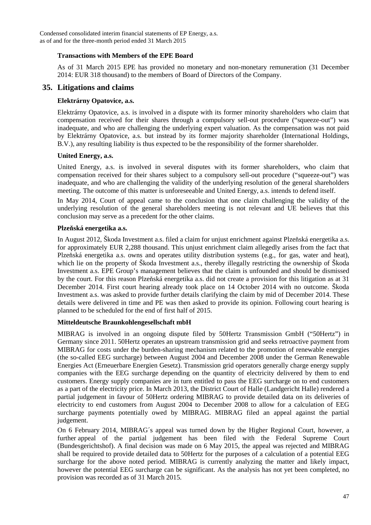#### **Transactions with Members of the EPE Board**

As of 31 March 2015 EPE has provided no monetary and non-monetary remuneration (31 December 2014: EUR 318 thousand) to the members of Board of Directors of the Company.

## **35. Litigations and claims**

#### **Elektrárny Opatovice, a.s.**

Elektrárny Opatovice, a.s. is involved in a dispute with its former minority shareholders who claim that compensation received for their shares through a compulsory sell-out procedure ("squeeze-out") was inadequate, and who are challenging the underlying expert valuation. As the compensation was not paid by Elektrárny Opatovice, a.s. but instead by its former majority shareholder (International Holdings, B.V.), any resulting liability is thus expected to be the responsibility of the former shareholder.

#### **United Energy, a.s.**

United Energy, a.s. is involved in several disputes with its former shareholders, who claim that compensation received for their shares subject to a compulsory sell-out procedure ("squeeze-out") was inadequate, and who are challenging the validity of the underlying resolution of the general shareholders meeting. The outcome of this matter is unforeseeable and United Energy, a.s. intends to defend itself.

In May 2014, Court of appeal came to the conclusion that one claim challenging the validity of the underlying resolution of the general shareholders meeting is not relevant and UE believes that this conclusion may serve as a precedent for the other claims.

#### **Plzeňská energetika a.s.**

In August 2012, Škoda Investment a.s. filed a claim for unjust enrichment against Plzeňská energetika a.s. for approximately EUR 2,288 thousand. This unjust enrichment claim allegedly arises from the fact that Plzeňská energetika a.s. owns and operates utility distribution systems (e.g., for gas, water and heat), which lie on the property of Škoda Investment a.s., thereby illegally restricting the ownership of Škoda Investment a.s. EPE Group's management believes that the claim is unfounded and should be dismissed by the court. For this reason Plzeňská energetika a.s. did not create a provision for this litigation as at 31 December 2014. First court hearing already took place on 14 October 2014 with no outcome. Škoda Investment a.s. was asked to provide further details clarifying the claim by mid of December 2014. These details were delivered in time and PE was then asked to provide its opinion. Following court hearing is planned to be scheduled for the end of first half of 2015.

#### **Mitteldeutsche Braunkohlengesellschaft mbH**

MIBRAG is involved in an ongoing dispute filed by 50Hertz Transmission GmbH ("50Hertz") in Germany since 2011. 50Hertz operates an upstream transmission grid and seeks retroactive payment from MIBRAG for costs under the burden-sharing mechanism related to the promotion of renewable energies (the so-called EEG surcharge) between August 2004 and December 2008 under the German Renewable Energies Act (Erneuerbare Energien Gesetz). Transmission grid operators generally charge energy supply companies with the EEG surcharge depending on the quantity of electricity delivered by them to end customers. Energy supply companies are in turn entitled to pass the EEG surcharge on to end customers as a part of the electricity price. In March 2013, the District Court of Halle (Landgericht Halle) rendered a partial judgement in favour of 50Hertz ordering MIBRAG to provide detailed data on its deliveries of electricity to end customers from August 2004 to December 2008 to allow for a calculation of EEG surcharge payments potentially owed by MIBRAG. MIBRAG filed an appeal against the partial judgement.

On 6 February 2014, MIBRAG´s appeal was turned down by the Higher Regional Court, however, a further appeal of the partial judgement has been filed with the Federal Supreme Court (Bundesgerichtshof). A final decision was made on 6 May 2015, the appeal was rejected and MIBRAG shall be required to provide detailed data to 50Hertz for the purposes of a calculation of a potential EEG surcharge for the above noted period. MIBRAG is currently analyzing the matter and likely impact, however the potential EEG surcharge can be significant. As the analysis has not yet been completed, no provision was recorded as of 31 March 2015.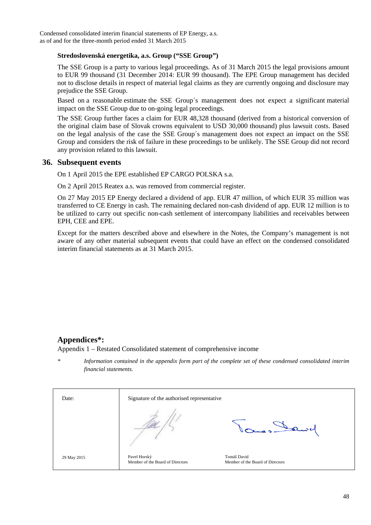#### **Stredoslovenská energetika, a.s. Group ("SSE Group")**

The SSE Group is a party to various legal proceedings. As of 31 March 2015 the legal provisions amount to EUR 99 thousand (31 December 2014: EUR 99 thousand). The EPE Group management has decided not to disclose details in respect of material legal claims as they are currently ongoing and disclosure may prejudice the SSE Group.

Based on a reasonable estimate the SSE Group´s management does not expect a significant material impact on the SSE Group due to on-going legal proceedings.

The SSE Group further faces a claim for EUR 48,328 thousand (derived from a historical conversion of the original claim base of Slovak crowns equivalent to USD 30,000 thousand) plus lawsuit costs. Based on the legal analysis of the case the SSE Group´s management does not expect an impact on the SSE Group and considers the risk of failure in these proceedings to be unlikely. The SSE Group did not record any provision related to this lawsuit.

#### **36. Subsequent events**

On 1 April 2015 the EPE established EP CARGO POLSKA s.a.

On 2 April 2015 Reatex a.s. was removed from commercial register.

On 27 May 2015 EP Energy declared a dividend of app. EUR 47 million, of which EUR 35 million was transferred to CE Energy in cash. The remaining declared non-cash dividend of app. EUR 12 million is to be utilized to carry out specific non-cash settlement of intercompany liabilities and receivables between EPH, CEE and EPE.

Except for the matters described above and elsewhere in the Notes, the Company's management is not aware of any other material subsequent events that could have an effect on the condensed consolidated interim financial statements as at 31 March 2015.

## **Appendices\*:**

Appendix 1 – Restated Consolidated statement of comprehensive income

*\* Information contained in the appendix form part of the complete set of these condensed consolidated interim financial statements.* 

| Date:       | Signature of the authorised representative       |                                                 |
|-------------|--------------------------------------------------|-------------------------------------------------|
|             |                                                  |                                                 |
| 29 May 2015 | Pavel Horský<br>Member of the Board of Directors | Tomáš David<br>Member of the Board of Directors |